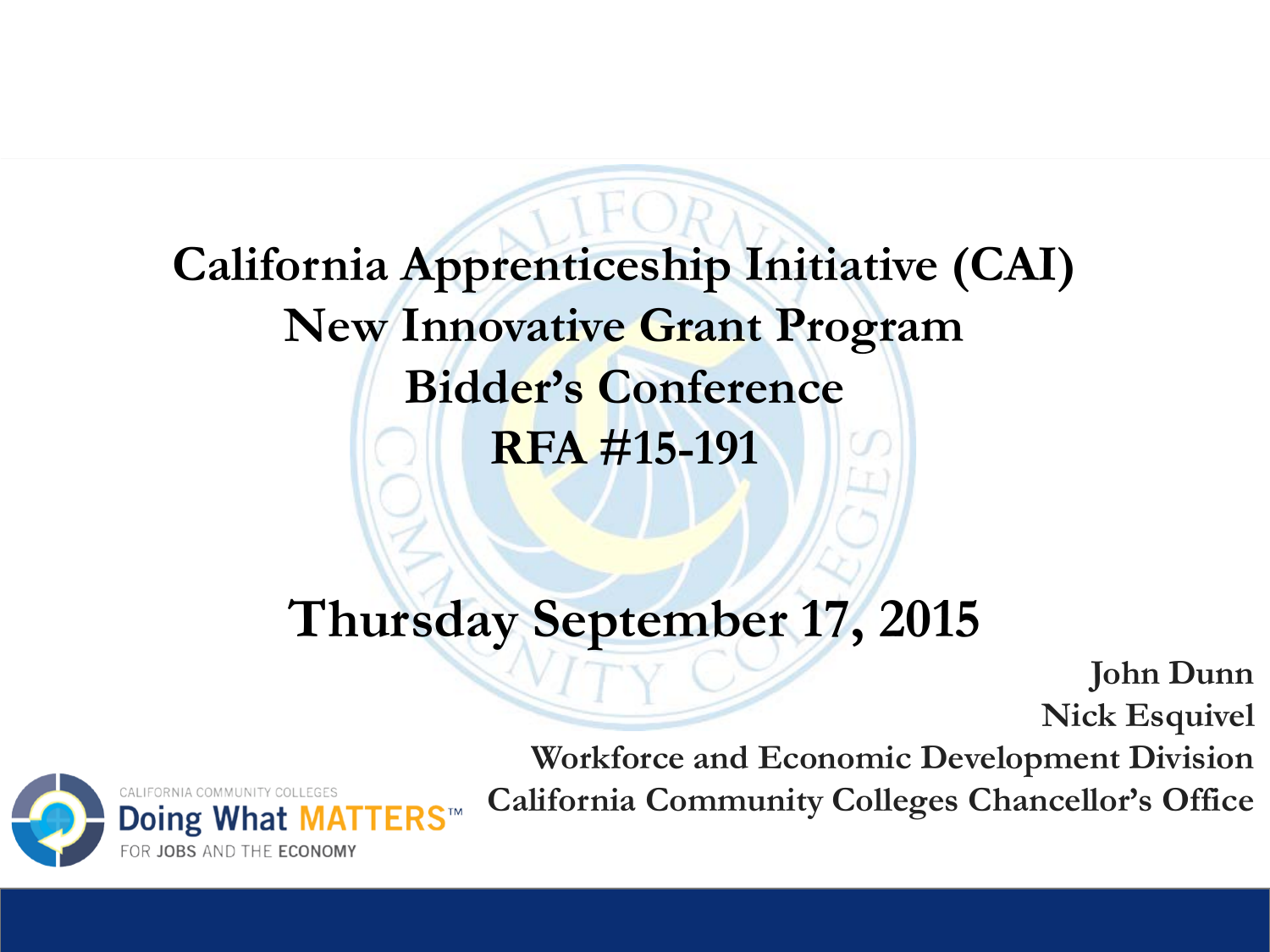**California Apprenticeship Initiative (CAI) New Innovative Grant Program Bidder's Conference RFA #15-191**

#### **Thursday September 17, 2015**

**John Dunn Nick Esquivel**



**Workforce and Economic Development Division California Community Colleges Chancellor's Office**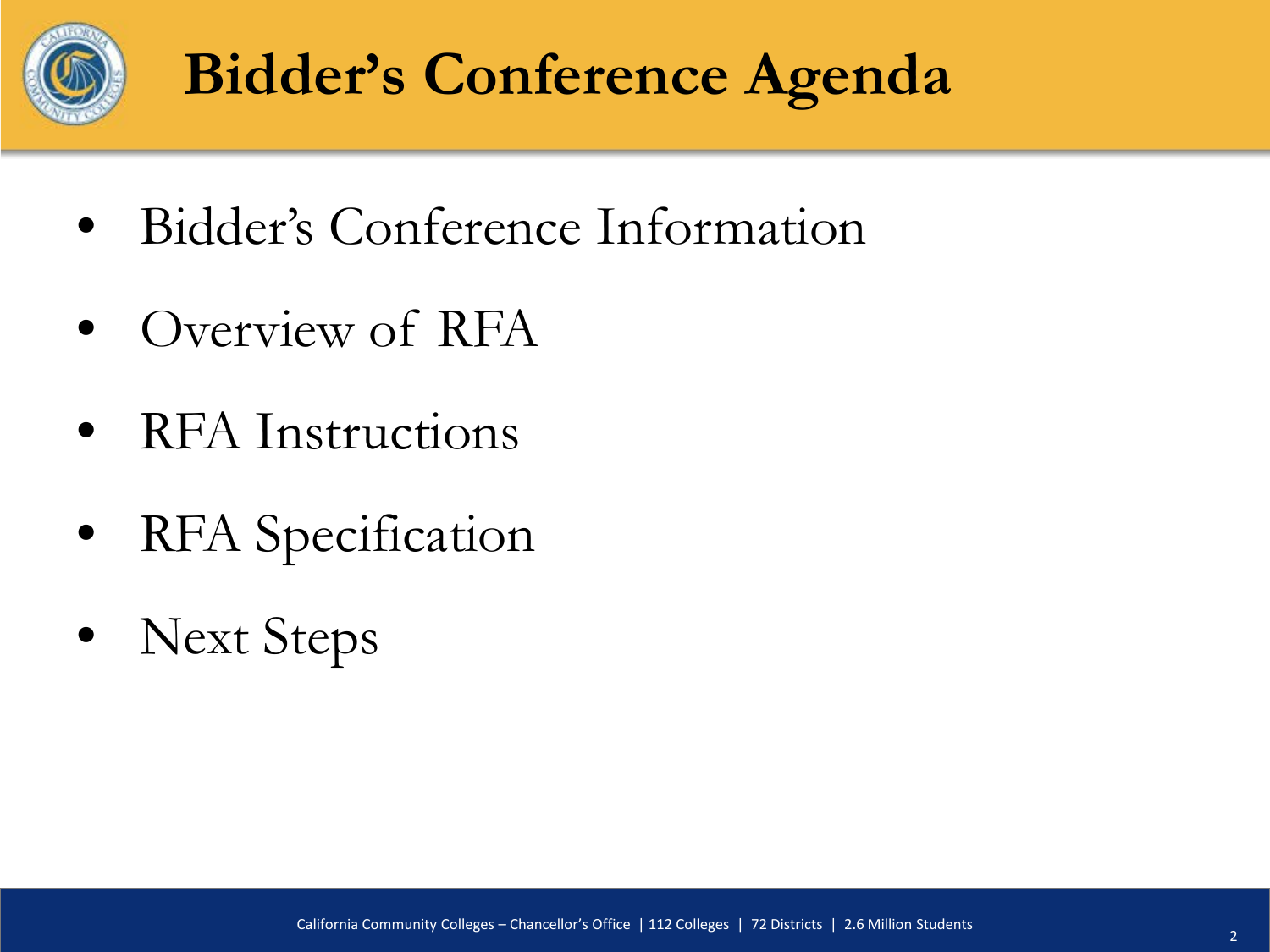

## **Bidder's Conference Agenda**

- Bidder's Conference Information
- Overview of RFA
- RFA Instructions
- RFA Specification
- Next Steps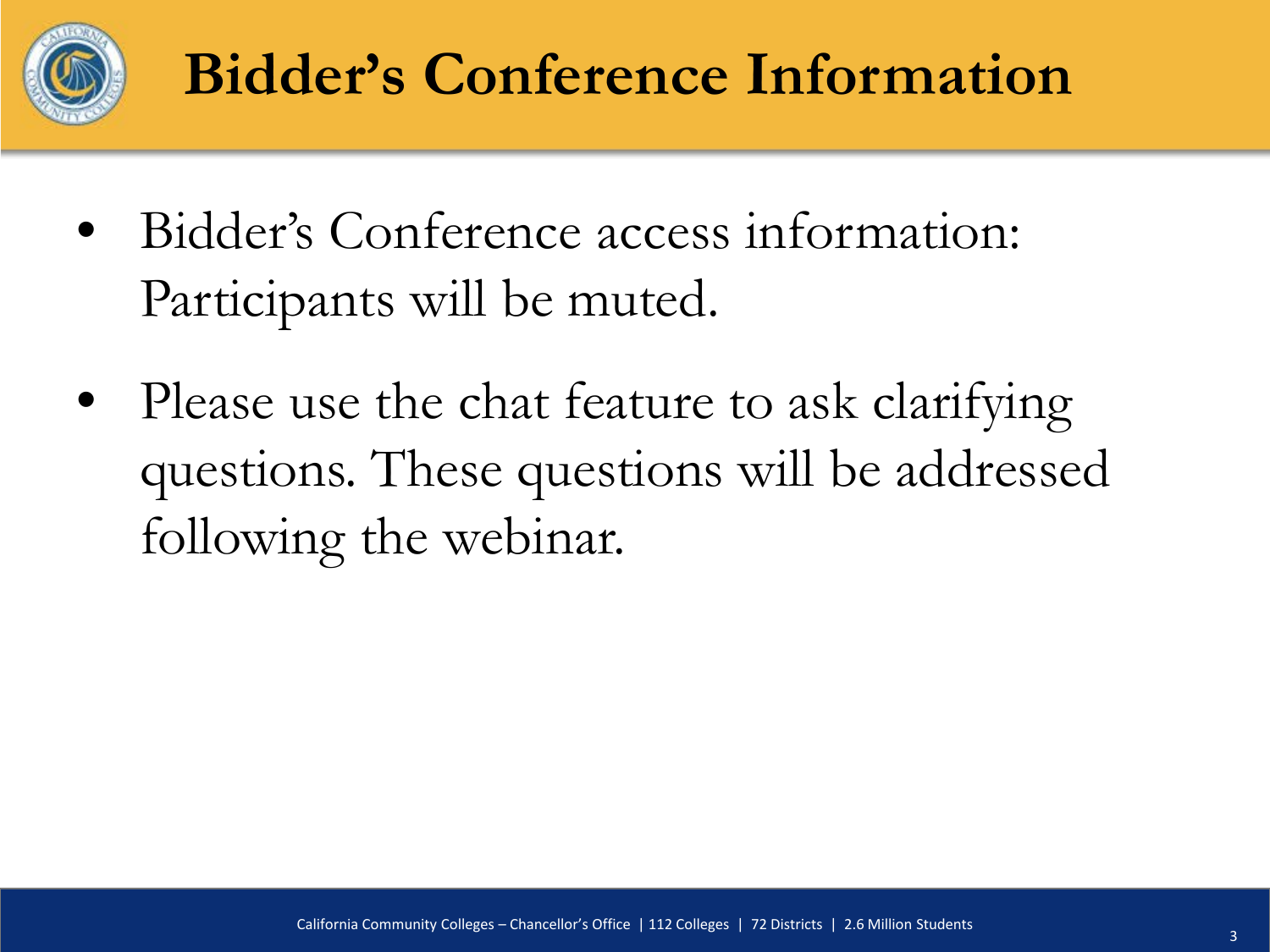

#### **Bidder's Conference Information**

- Bidder's Conference access information: Participants will be muted.
- Please use the chat feature to ask clarifying questions. These questions will be addressed following the webinar.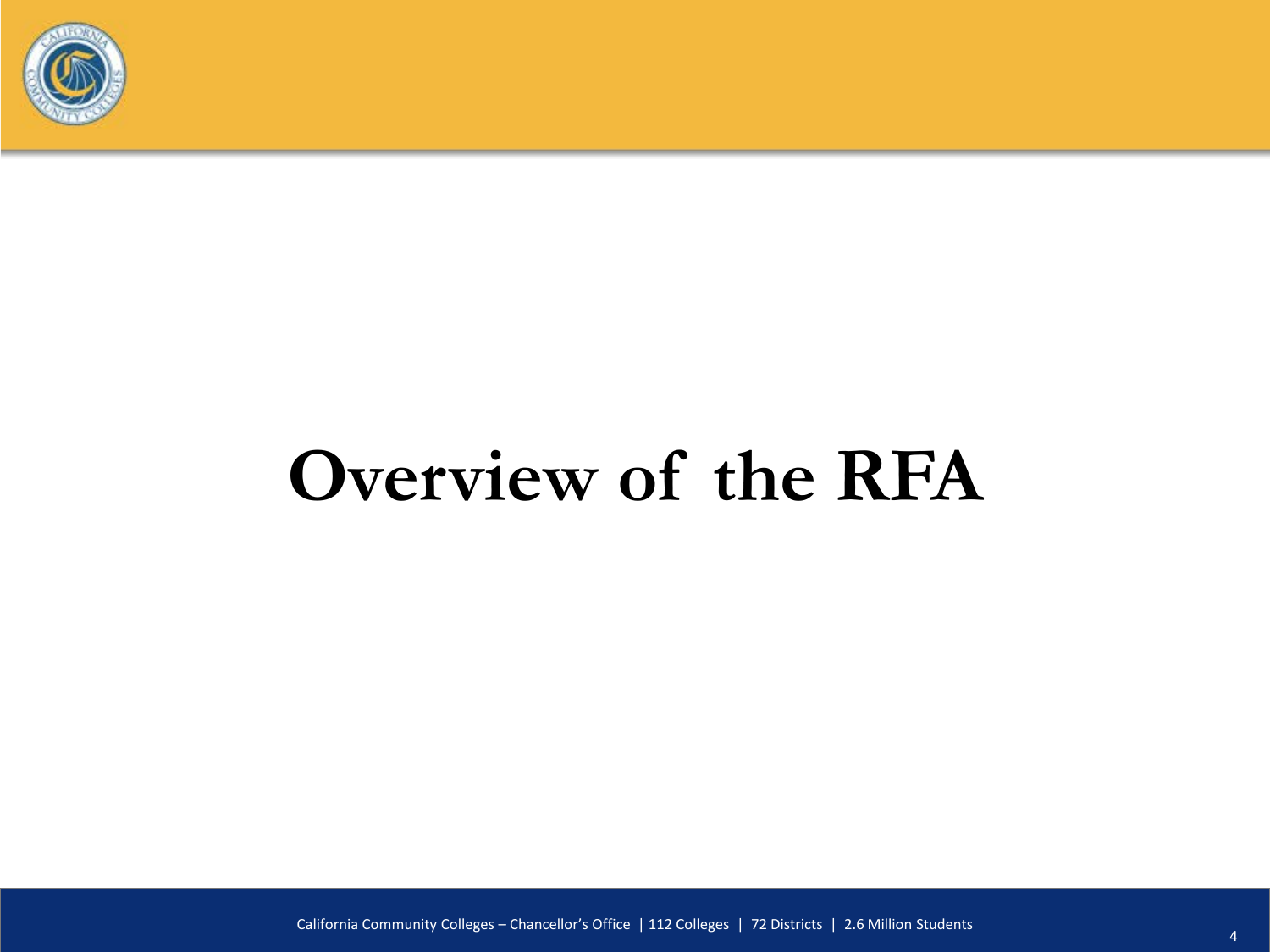

# **Overview of the RFA**

California Community Colleges – Chancellor's Office | 112 Colleges | 72 Districts | 2.6 Million Students <sup>4</sup>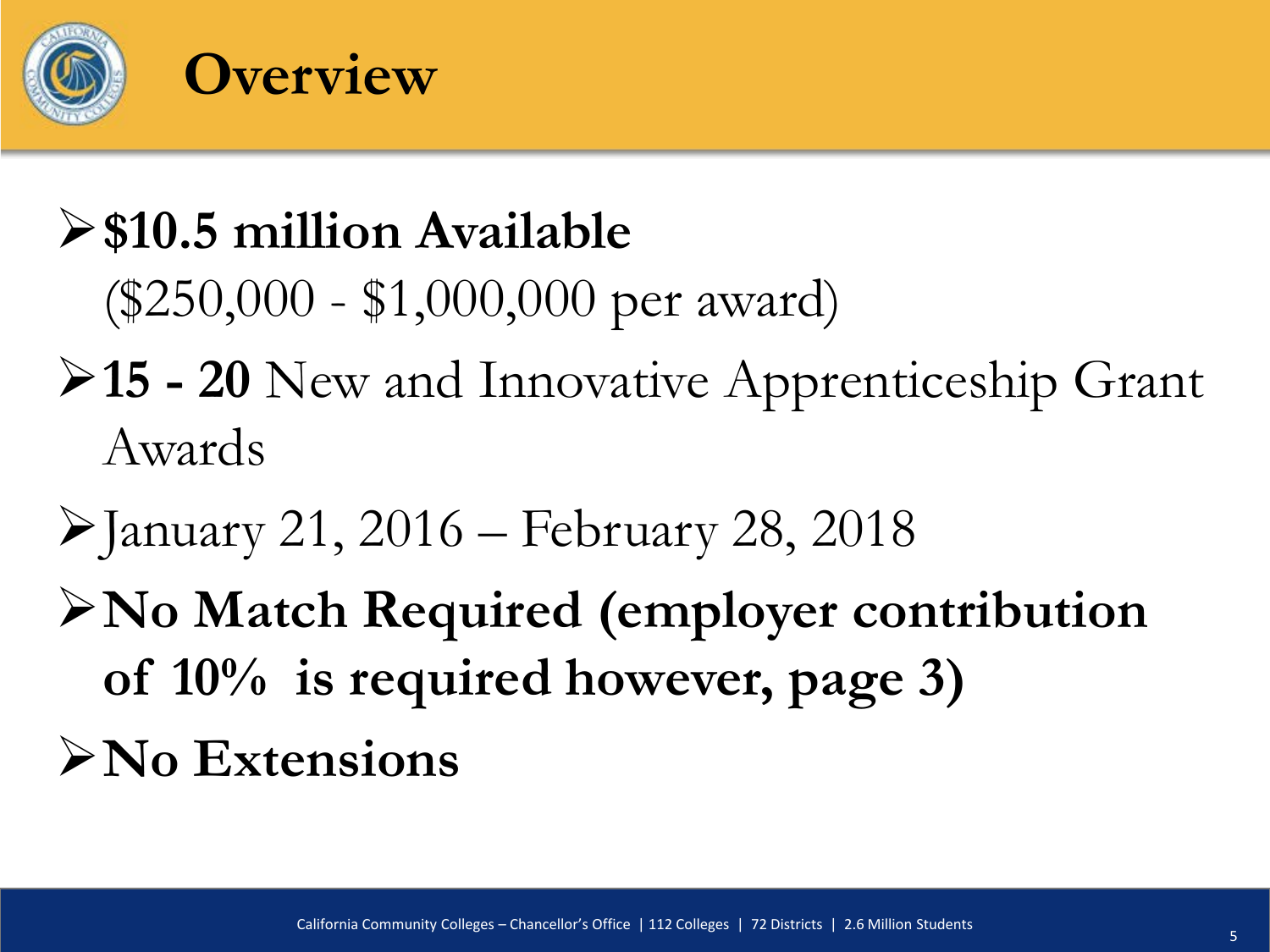

#### **\$10.5 million Available**  (\$250,000 - \$1,000,000 per award)

- **15 - 20** New and Innovative Apprenticeship Grant Awards
- $\blacktriangleright$  January 21, 2016 February 28, 2018
- **No Match Required (employer contribution of 10% is required however, page 3) No Extensions**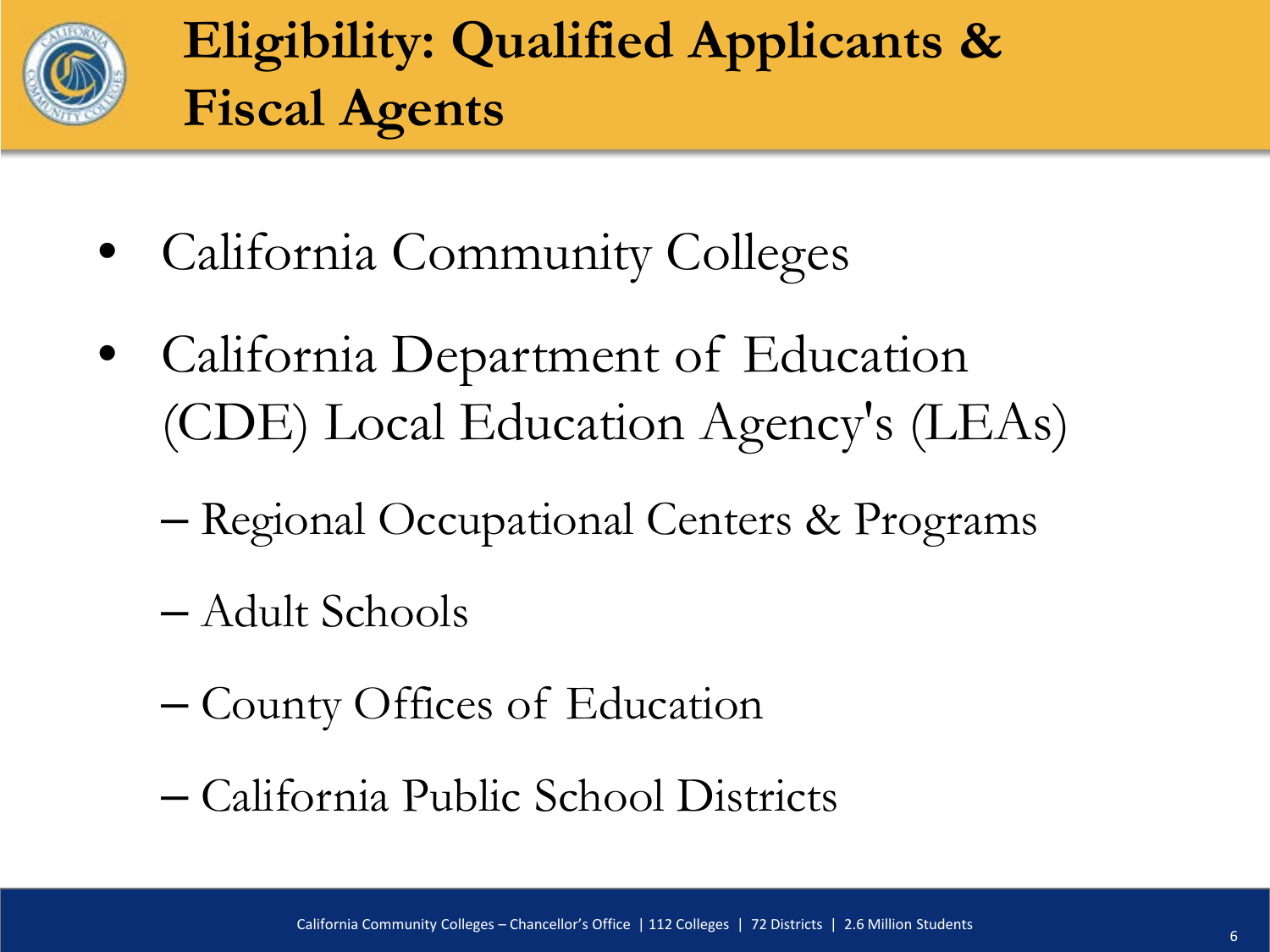

#### **Eligibility: Qualified Applicants & Fiscal Agents**

- California Community Colleges
- California Department of Education (CDE) Local Education Agency's (LEAs)
	- Regional Occupational Centers & Programs
	- Adult Schools
	- County Offices of Education
	- California Public School Districts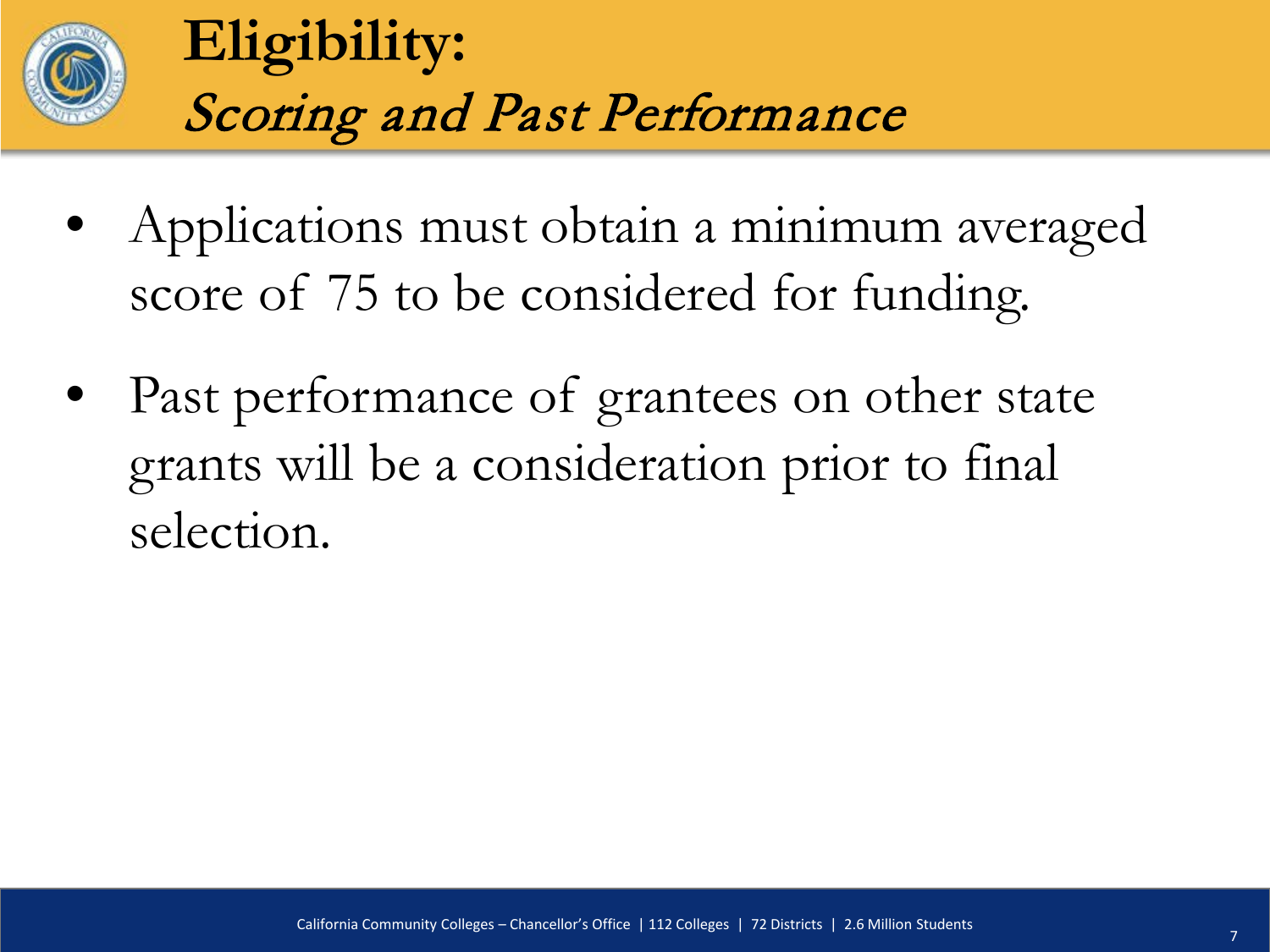

#### **Eligibility:** Scoring and Past Performance

- Applications must obtain a minimum averaged score of 75 to be considered for funding.
- Past performance of grantees on other state grants will be a consideration prior to final selection.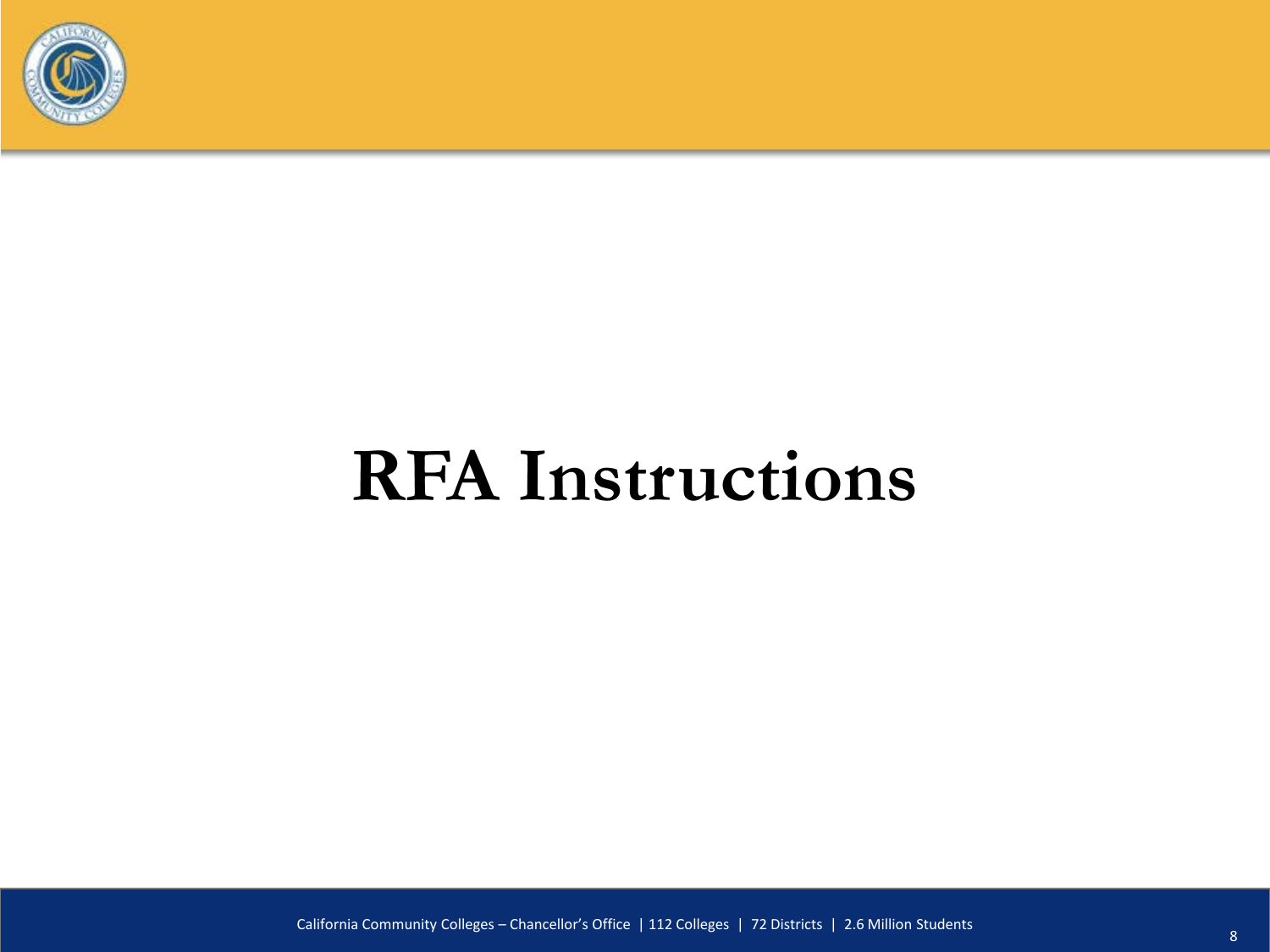

# **RFA Instructions**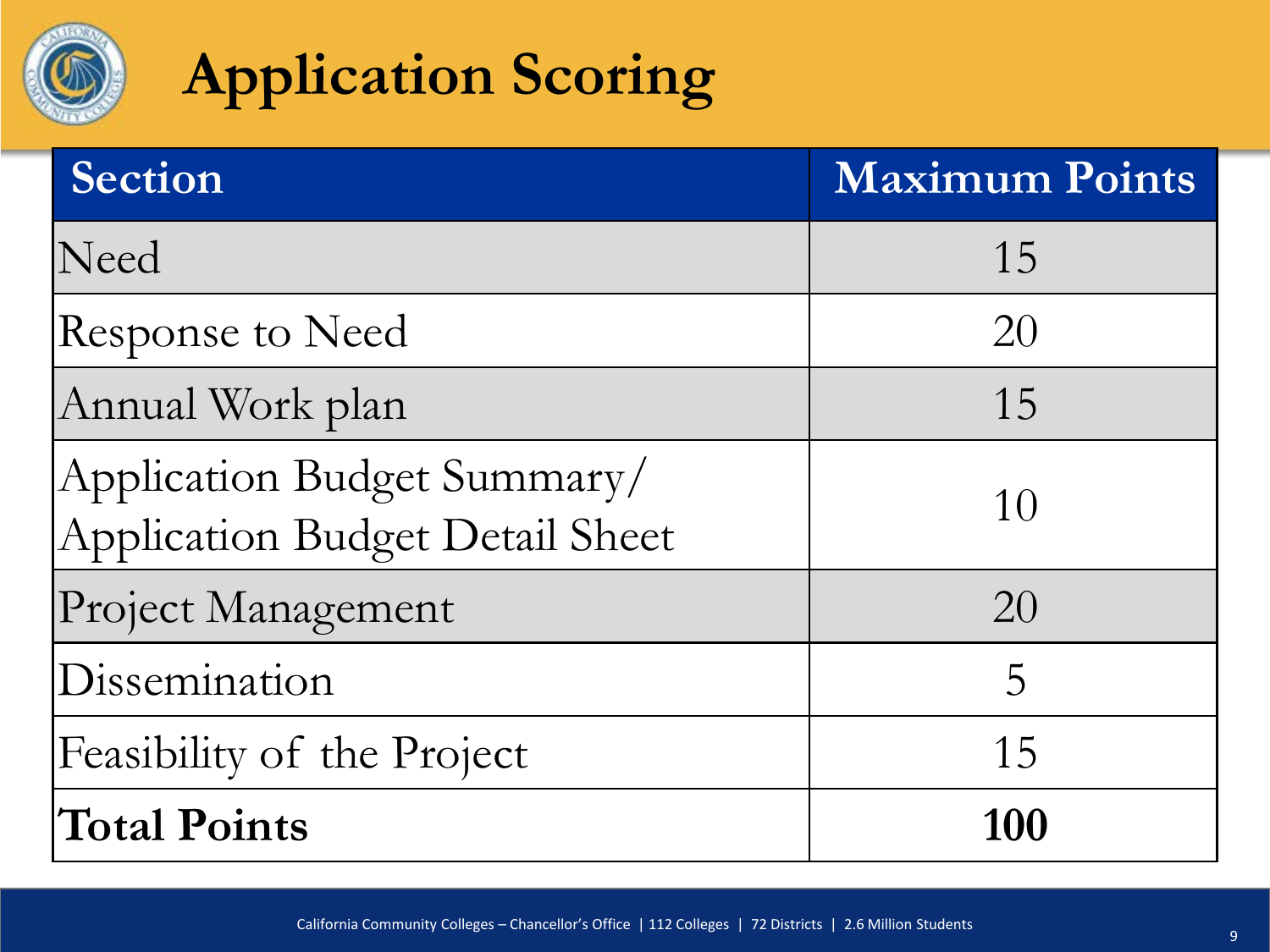

#### **Application Scoring**

| Section                                                               | <b>Maximum Points</b> |
|-----------------------------------------------------------------------|-----------------------|
| Need                                                                  | 15                    |
| Response to Need                                                      | 20                    |
| Annual Work plan                                                      | 15                    |
| Application Budget Summary/<br><b>Application Budget Detail Sheet</b> | 10                    |
| Project Management                                                    | 20                    |
| Dissemination                                                         | 5                     |
| Feasibility of the Project                                            | 15                    |
| <b>Total Points</b>                                                   | 100                   |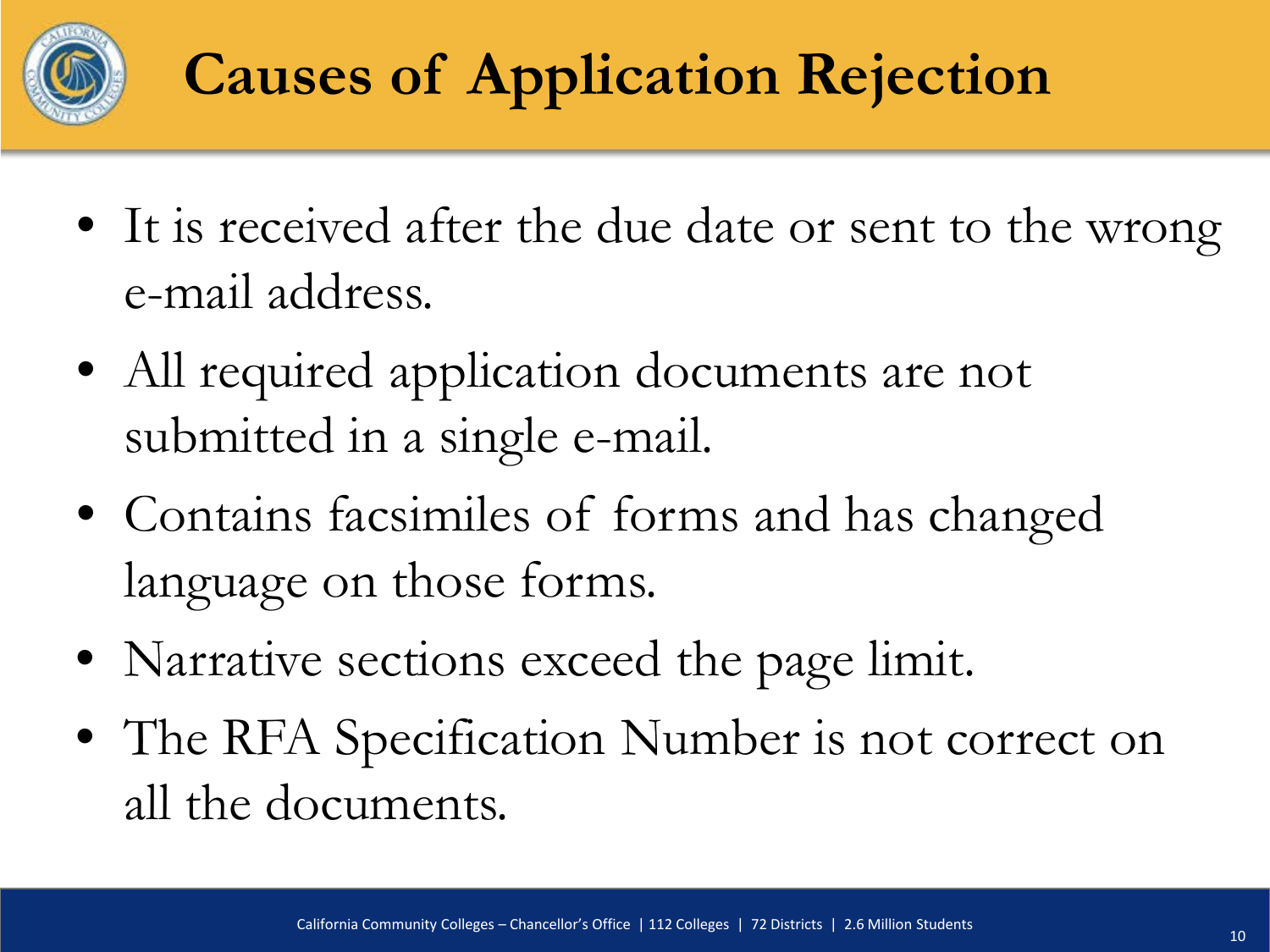

## **Causes of Application Rejection**

- It is received after the due date or sent to the wrong e-mail address.
- All required application documents are not submitted in a single e-mail.
- Contains facsimiles of forms and has changed language on those forms.
- Narrative sections exceed the page limit.
- The RFA Specification Number is not correct on all the documents.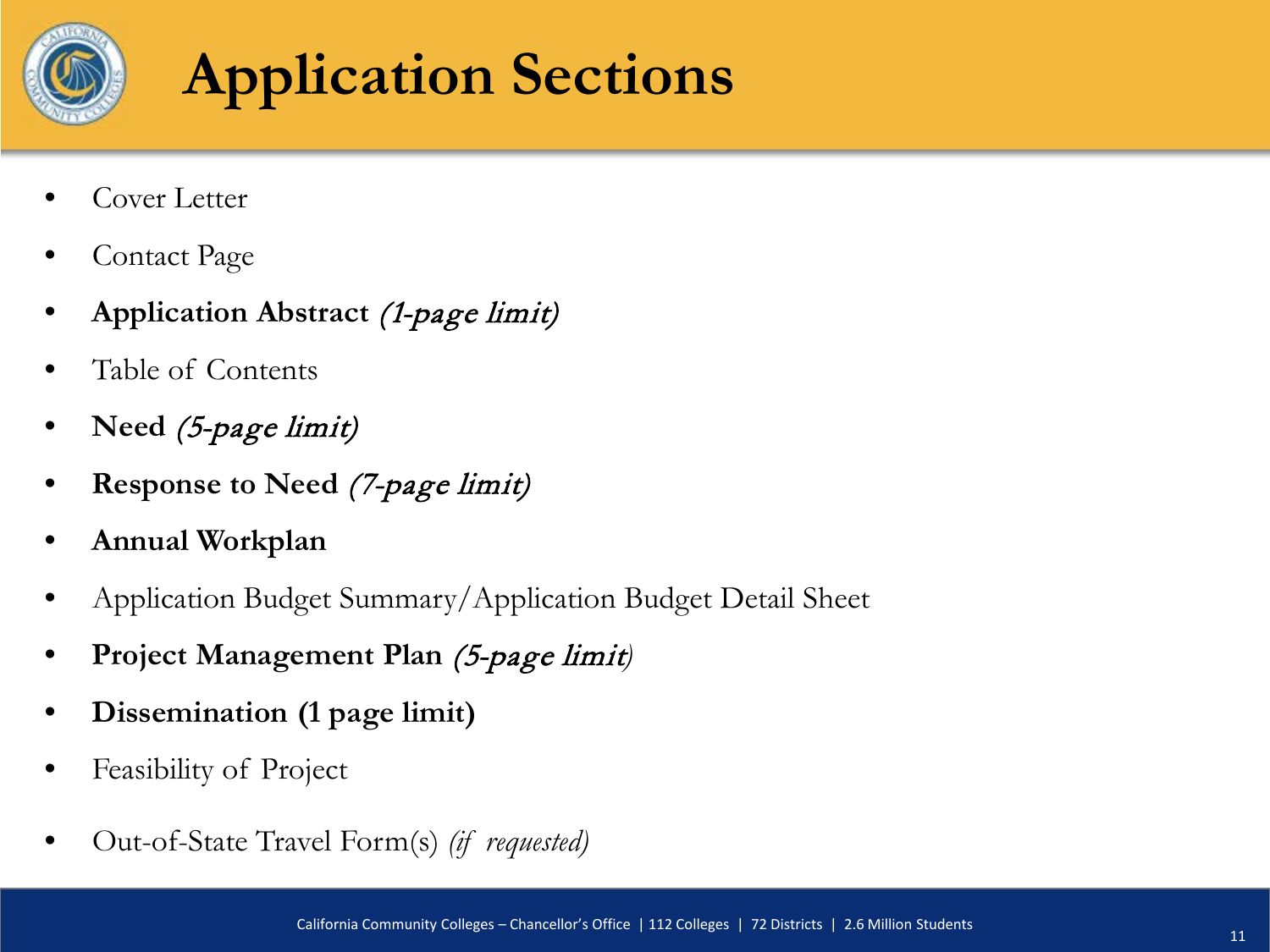

#### **Application Sections**

- Cover Letter
- Contact Page
- **Application Abstract** (1-page limit)
- Table of Contents
- **Need** (5-page limit)
- **Response to Need** (7-page limit)
- **Annual Workplan**
- Application Budget Summary/Application Budget Detail Sheet
- **Project Management Plan** (5-page limit*)*
- **Dissemination (1 page limit)**
- Feasibility of Project
- Out-of-State Travel Form(s) *(if requested)*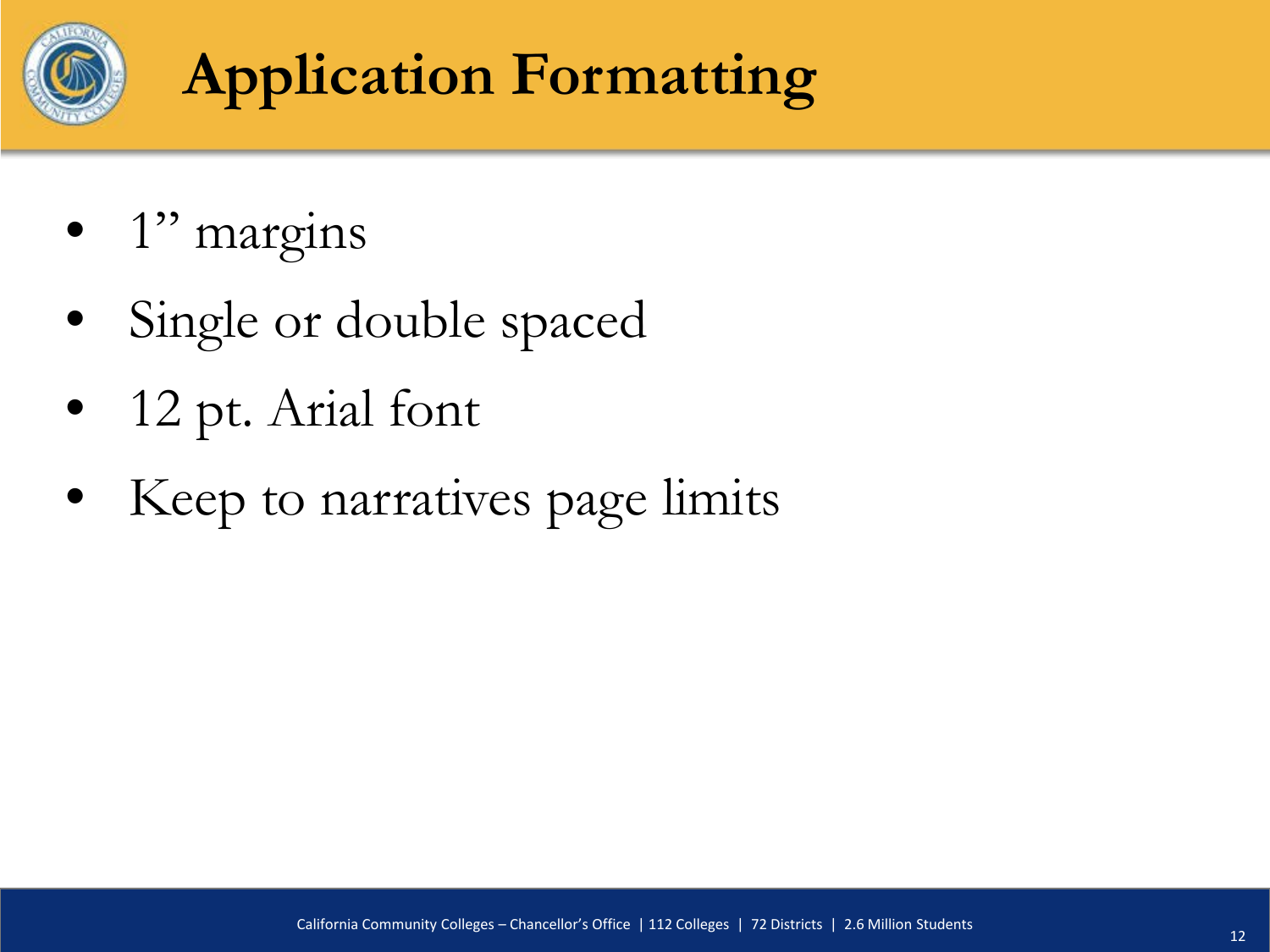

## **Application Formatting**

- 1" margins
- Single or double spaced
- 12 pt. Arial font
- Keep to narratives page limits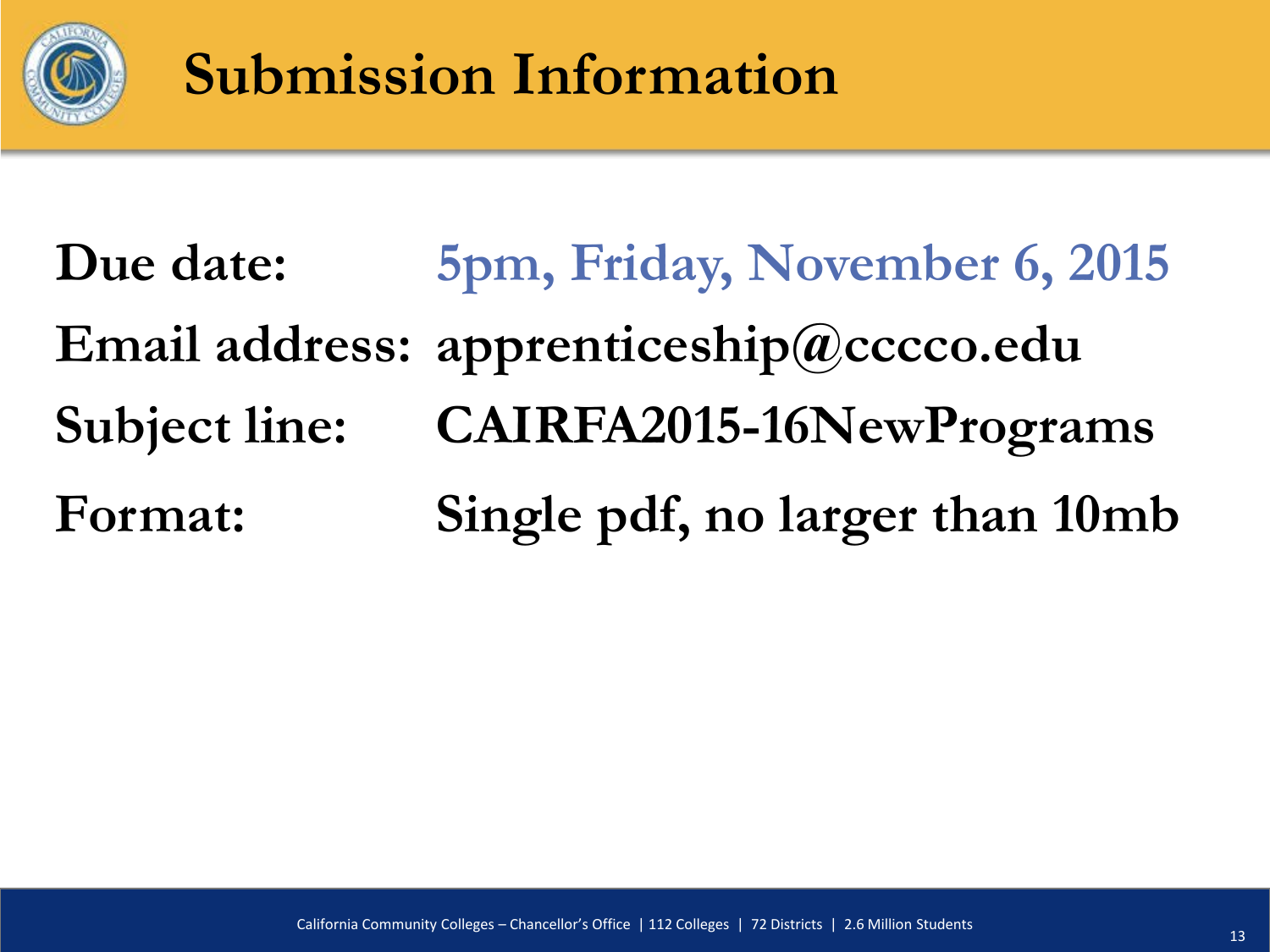

#### **Submission Information**

**Due date: 5pm, Friday, November 6, 2015 Email address: apprenticeship@cccco.edu Subject line: CAIRFA2015-16NewPrograms Format: Single pdf, no larger than 10mb**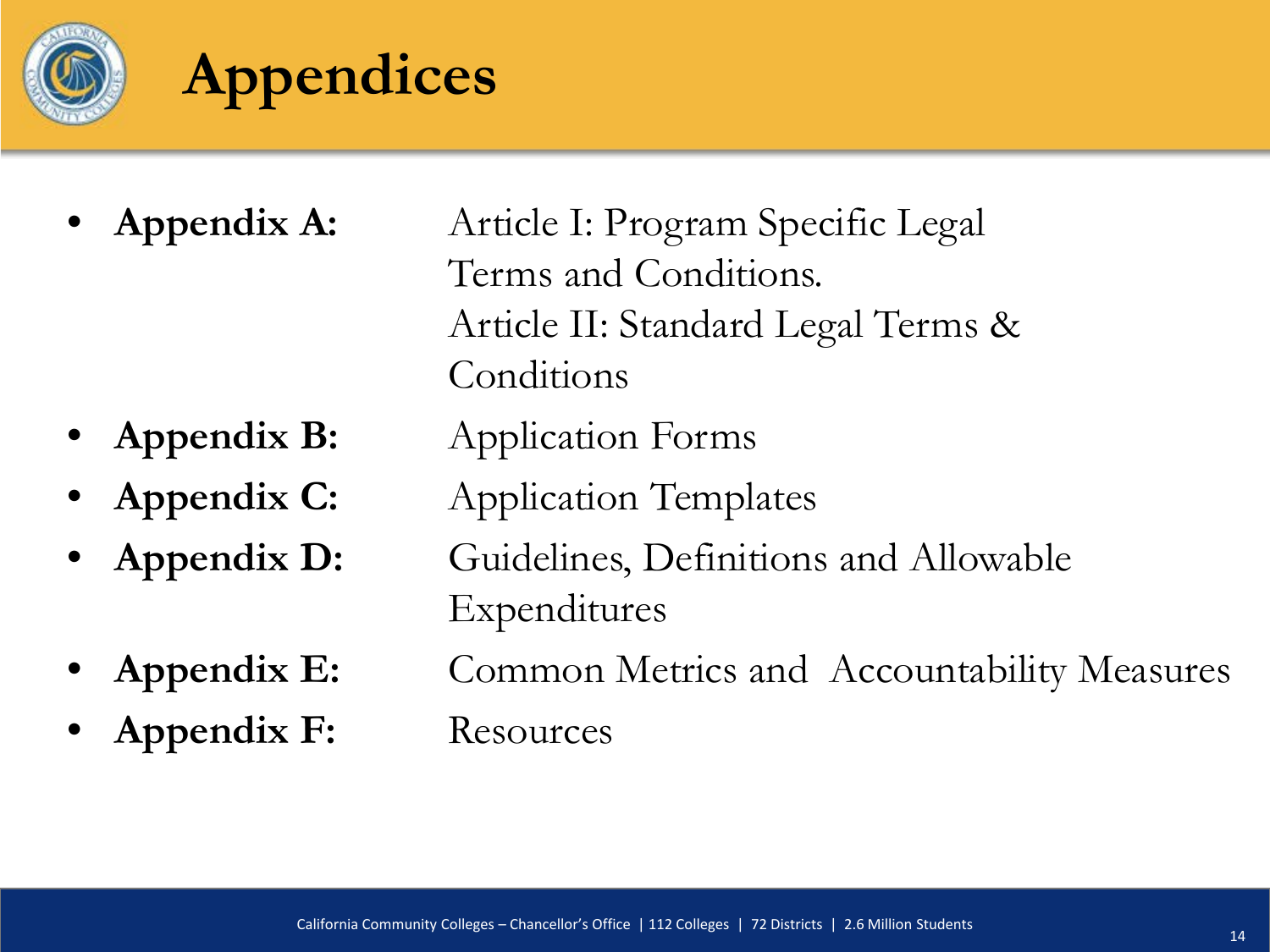

#### **Appendices**

- - **Appendix A:** Article I: Program Specific Legal Terms and Conditions. Article II: Standard Legal Terms & Conditions
- **Appendix B:** Application Forms
- 
- 
- 
- Appendix F: Resources
- **Appendix C:** Application Templates • **Appendix D:** Guidelines, Definitions and Allowable
	- Expenditures
- Appendix E: Common Metrics and Accountability Measures
	-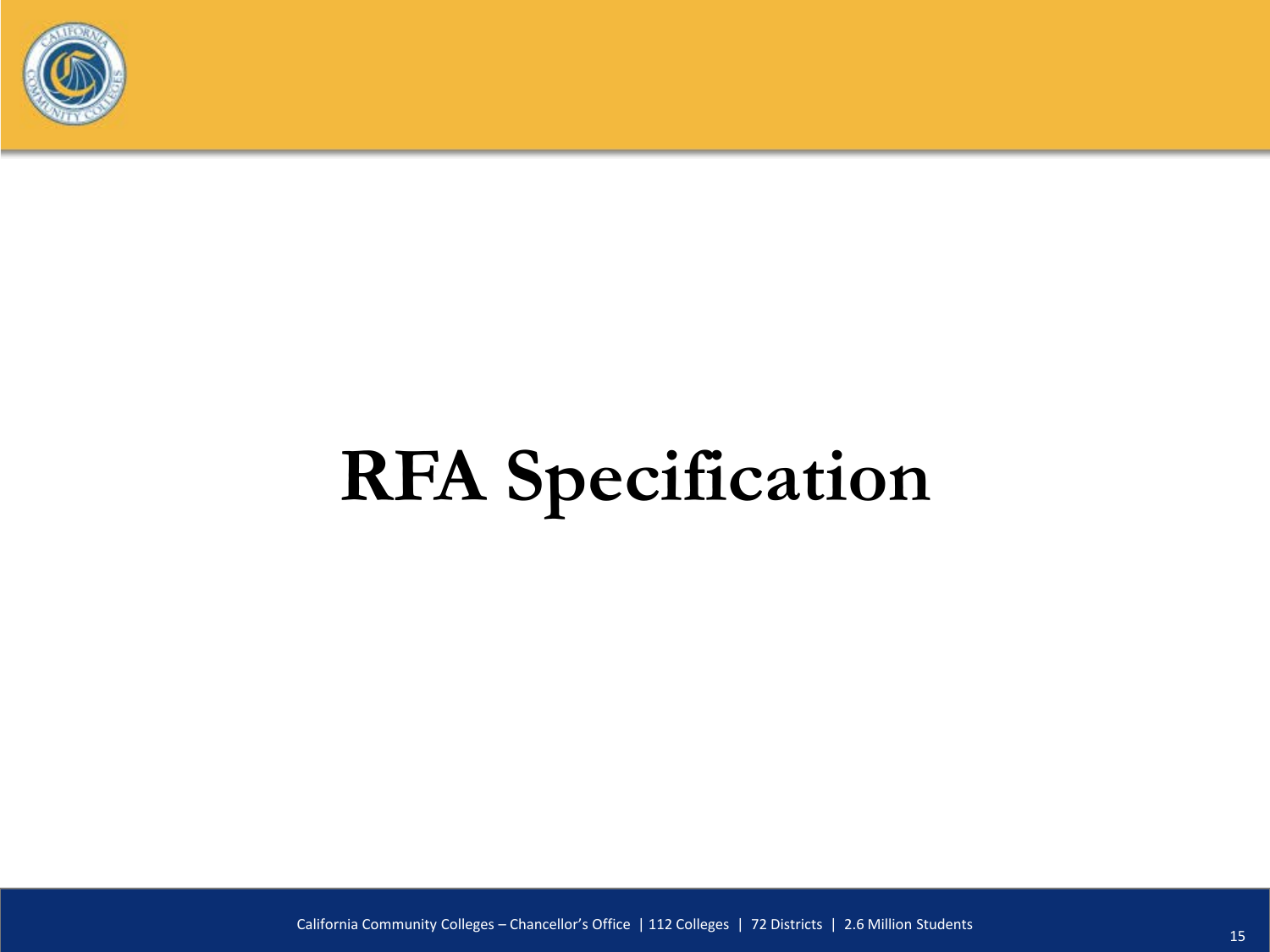

# **RFA Specification**

California Community Colleges – Chancellor's Office | 112 Colleges | 72 Districts | 2.6 Million Students 15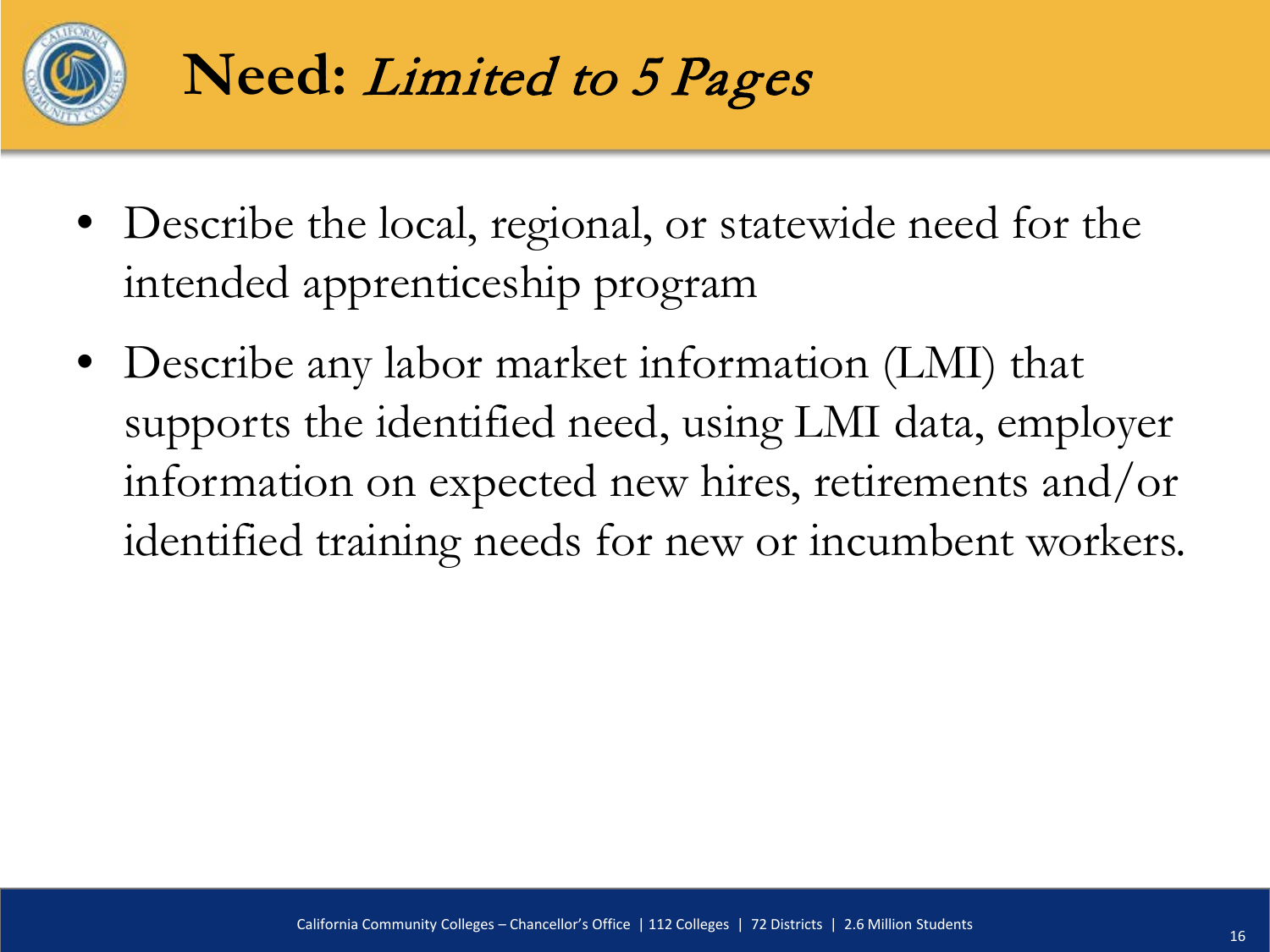

- Describe the local, regional, or statewide need for the intended apprenticeship program
- Describe any labor market information (LMI) that supports the identified need, using LMI data, employer information on expected new hires, retirements and/or identified training needs for new or incumbent workers.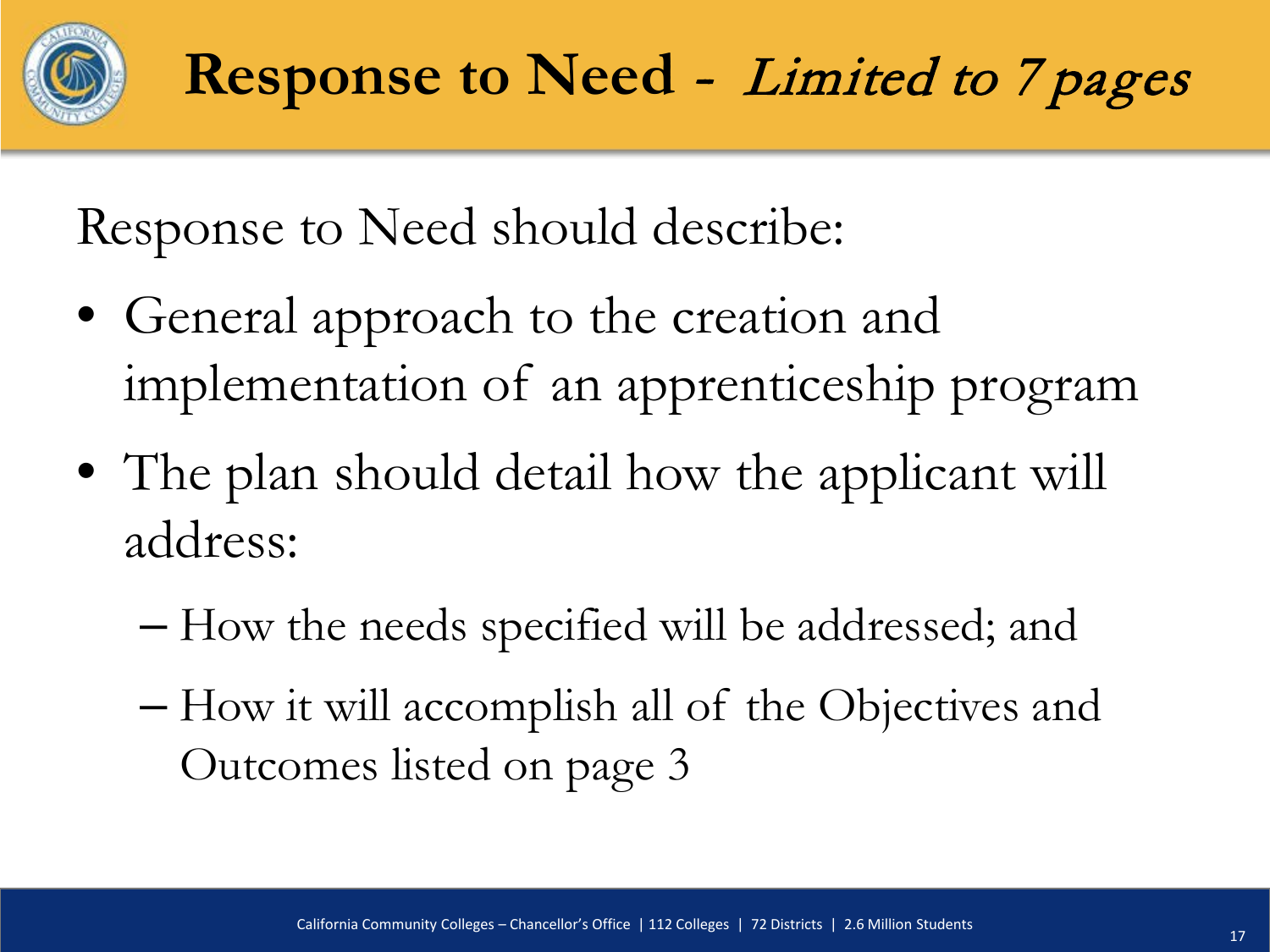

Response to Need should describe:

- General approach to the creation and implementation of an apprenticeship program
- The plan should detail how the applicant will address:
	- How the needs specified will be addressed; and
	- How it will accomplish all of the Objectives and Outcomes listed on page 3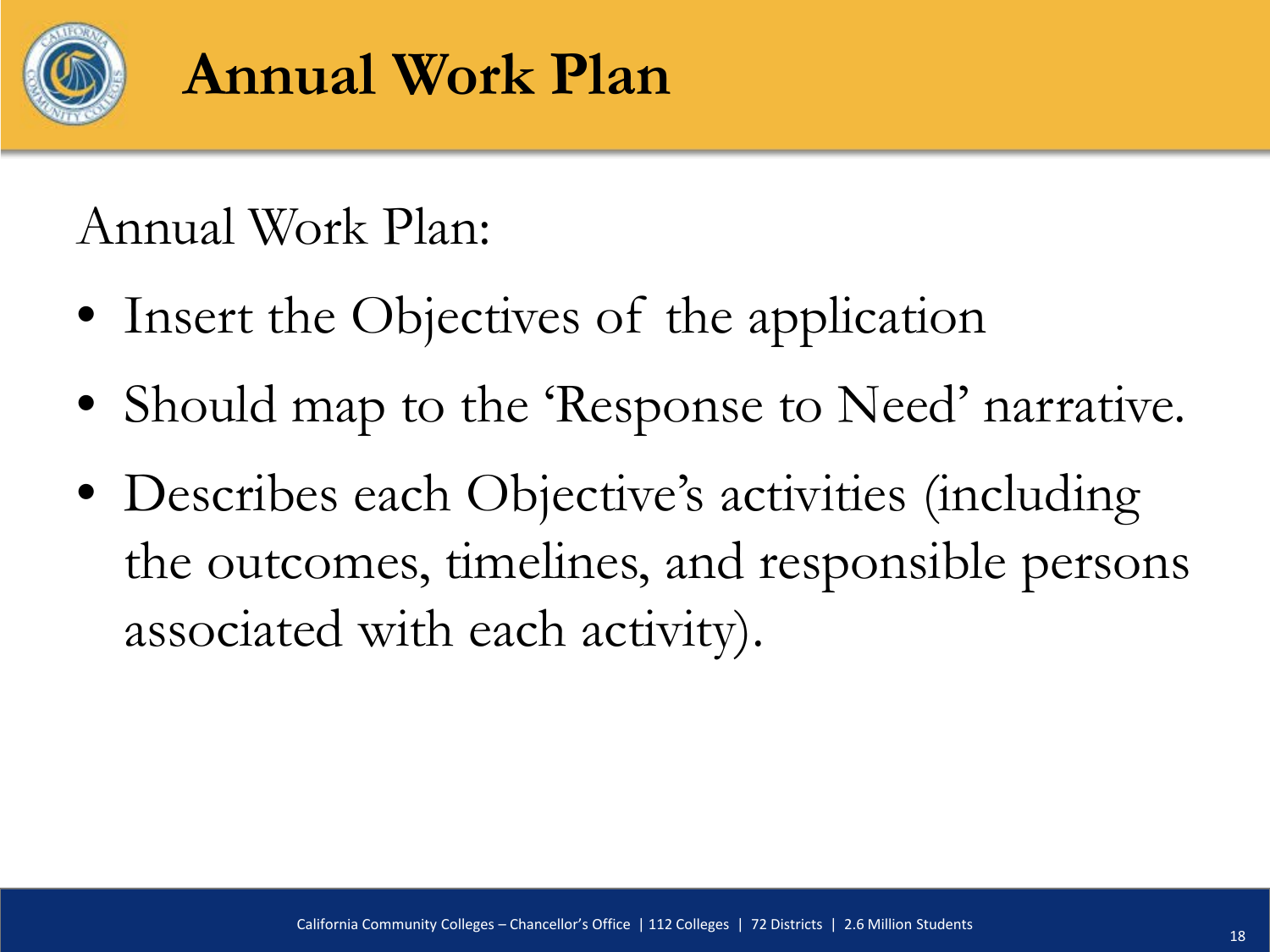

#### **Annual Work Plan**

#### Annual Work Plan:

- Insert the Objectives of the application
- Should map to the 'Response to Need' narrative.
- Describes each Objective's activities (including the outcomes, timelines, and responsible persons associated with each activity).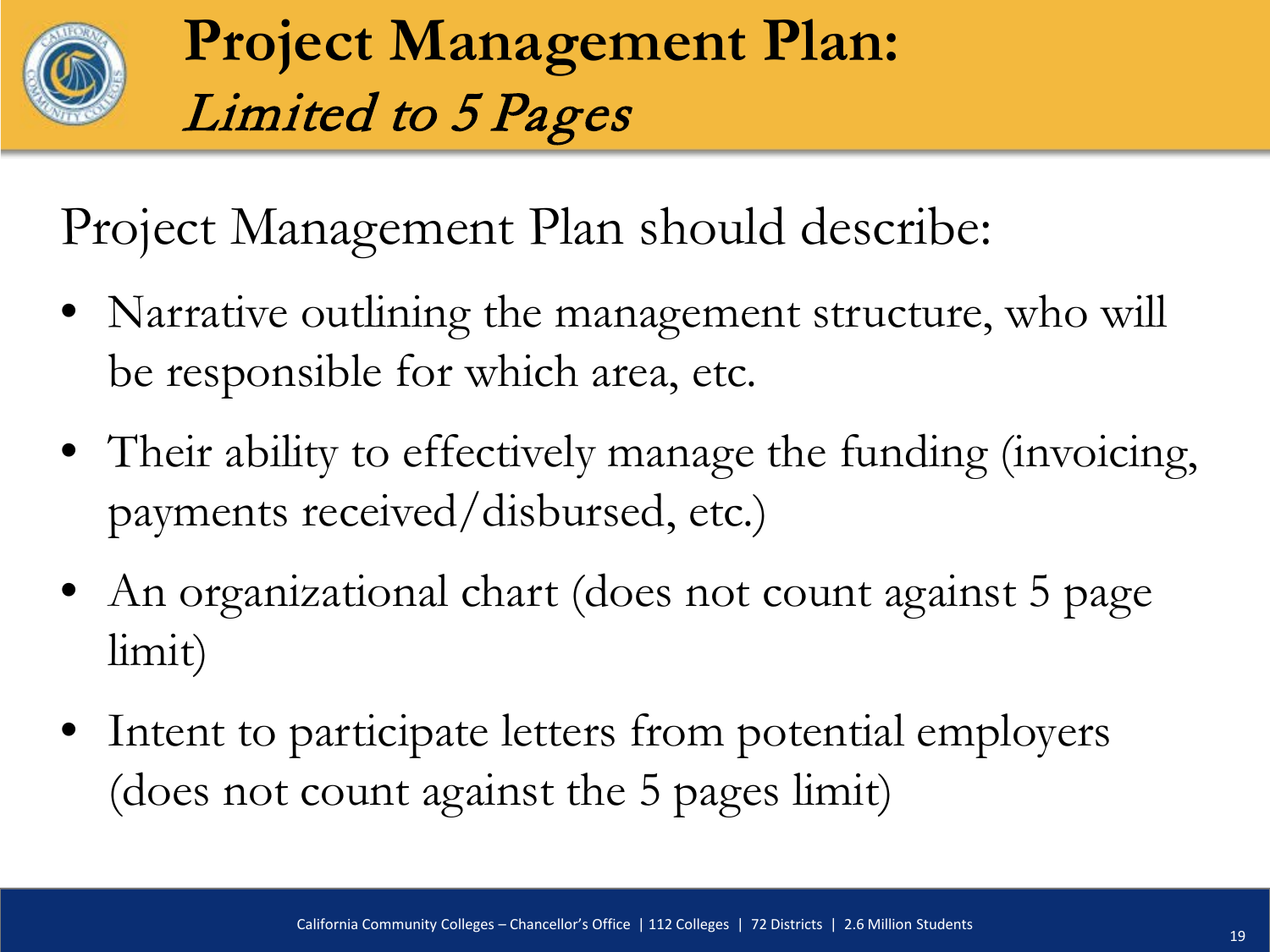

**Project Management Plan:**  Limited to 5 Pages

Project Management Plan should describe:

- Narrative outlining the management structure, who will be responsible for which area, etc.
- Their ability to effectively manage the funding (invoicing, payments received/disbursed, etc.)
- An organizational chart (does not count against 5 page limit)
- Intent to participate letters from potential employers (does not count against the 5 pages limit)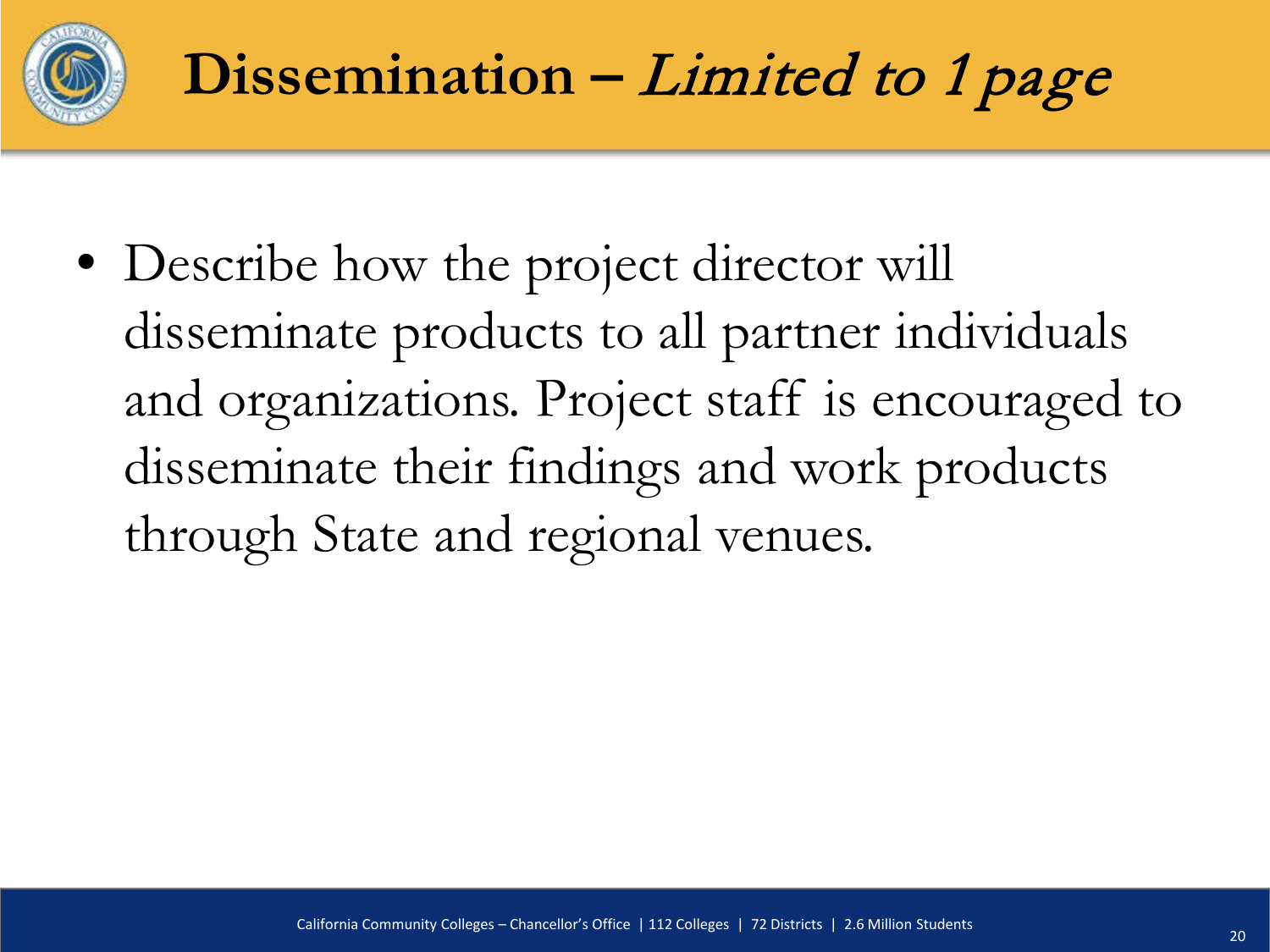

• Describe how the project director will disseminate products to all partner individuals and organizations. Project staff is encouraged to disseminate their findings and work products through State and regional venues.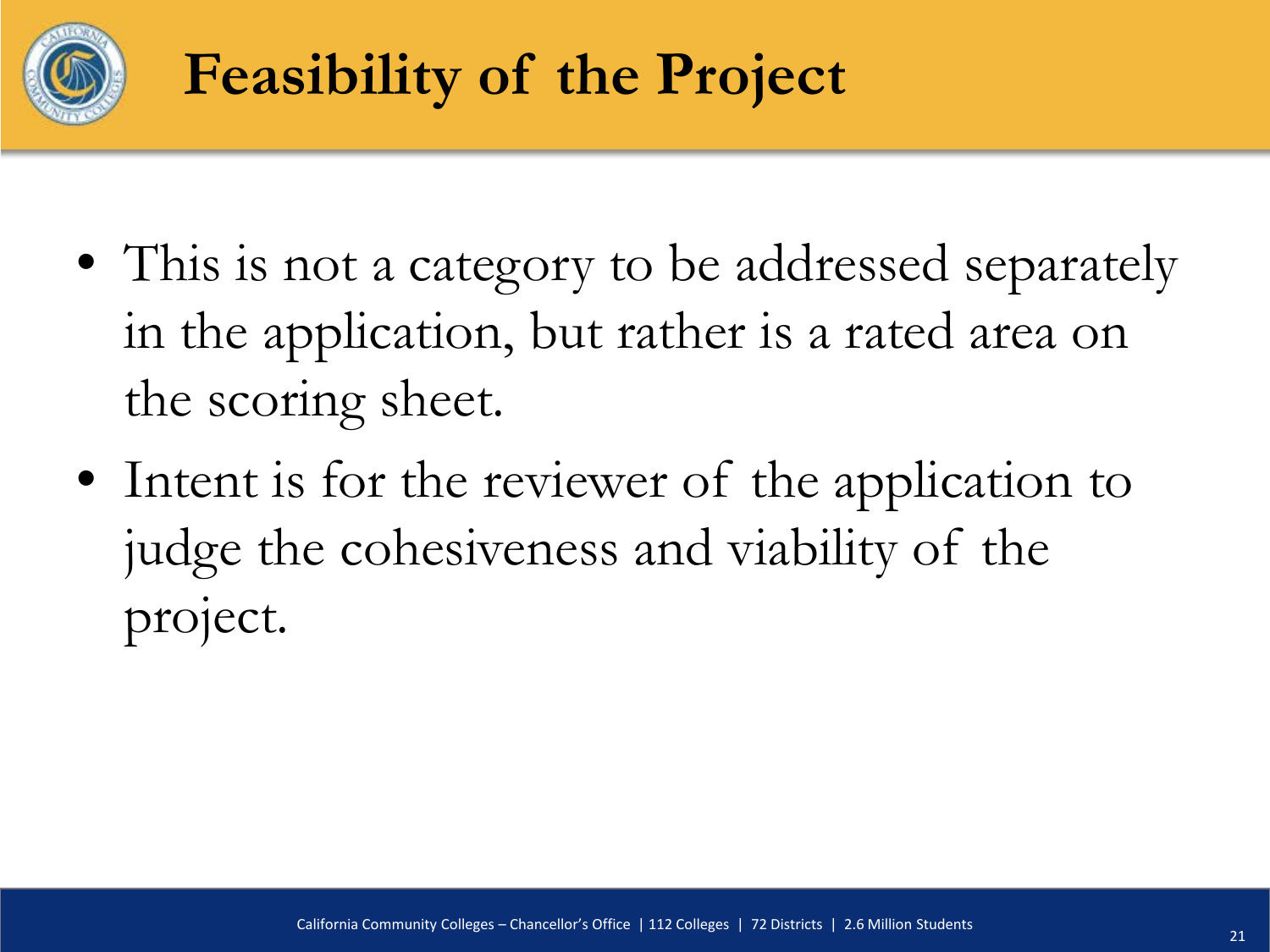

## **Feasibility of the Project**

- This is not a category to be addressed separately in the application, but rather is a rated area on the scoring sheet.
- Intent is for the reviewer of the application to judge the cohesiveness and viability of the project.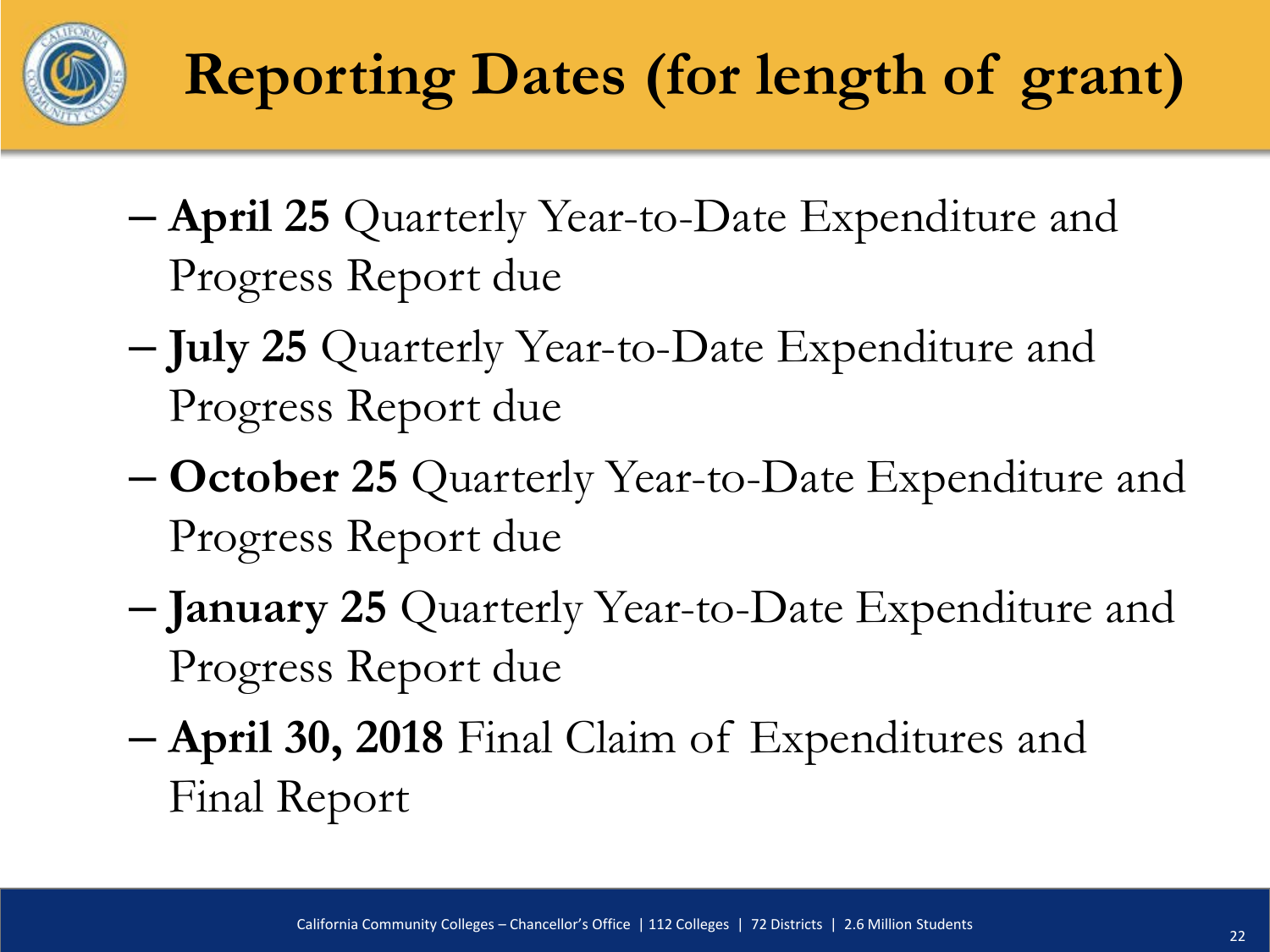

- **April 25** Quarterly Year-to-Date Expenditure and Progress Report due
- **July 25** Quarterly Year-to-Date Expenditure and Progress Report due
- **October 25** Quarterly Year-to-Date Expenditure and Progress Report due
- **January 25** Quarterly Year-to-Date Expenditure and Progress Report due
- **April 30, 2018** Final Claim of Expenditures and Final Report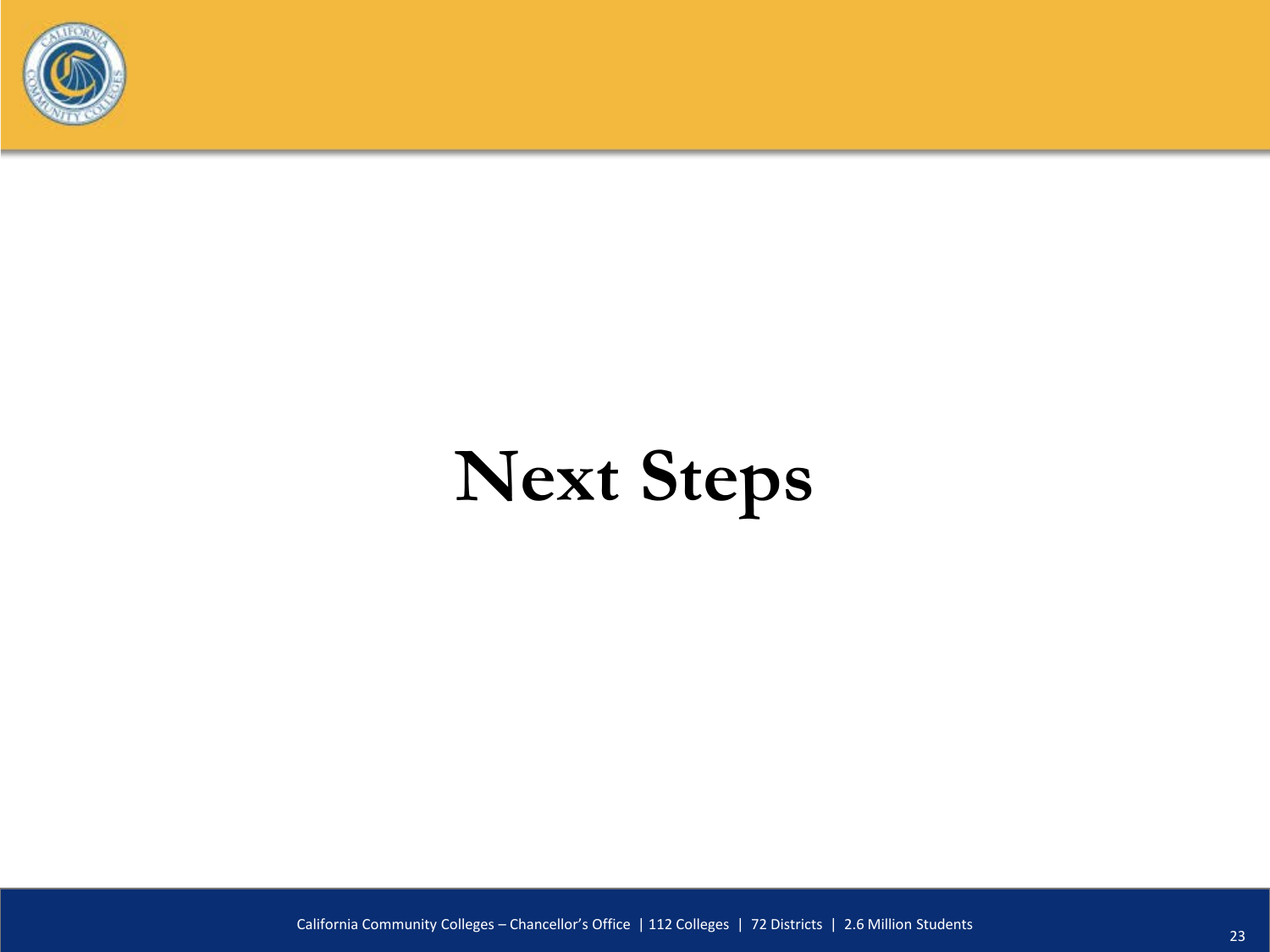

# **Next Steps**

California Community Colleges – Chancellor's Office | 112 Colleges | 72 Districts | 2.6 Million Students <sup>23</sup>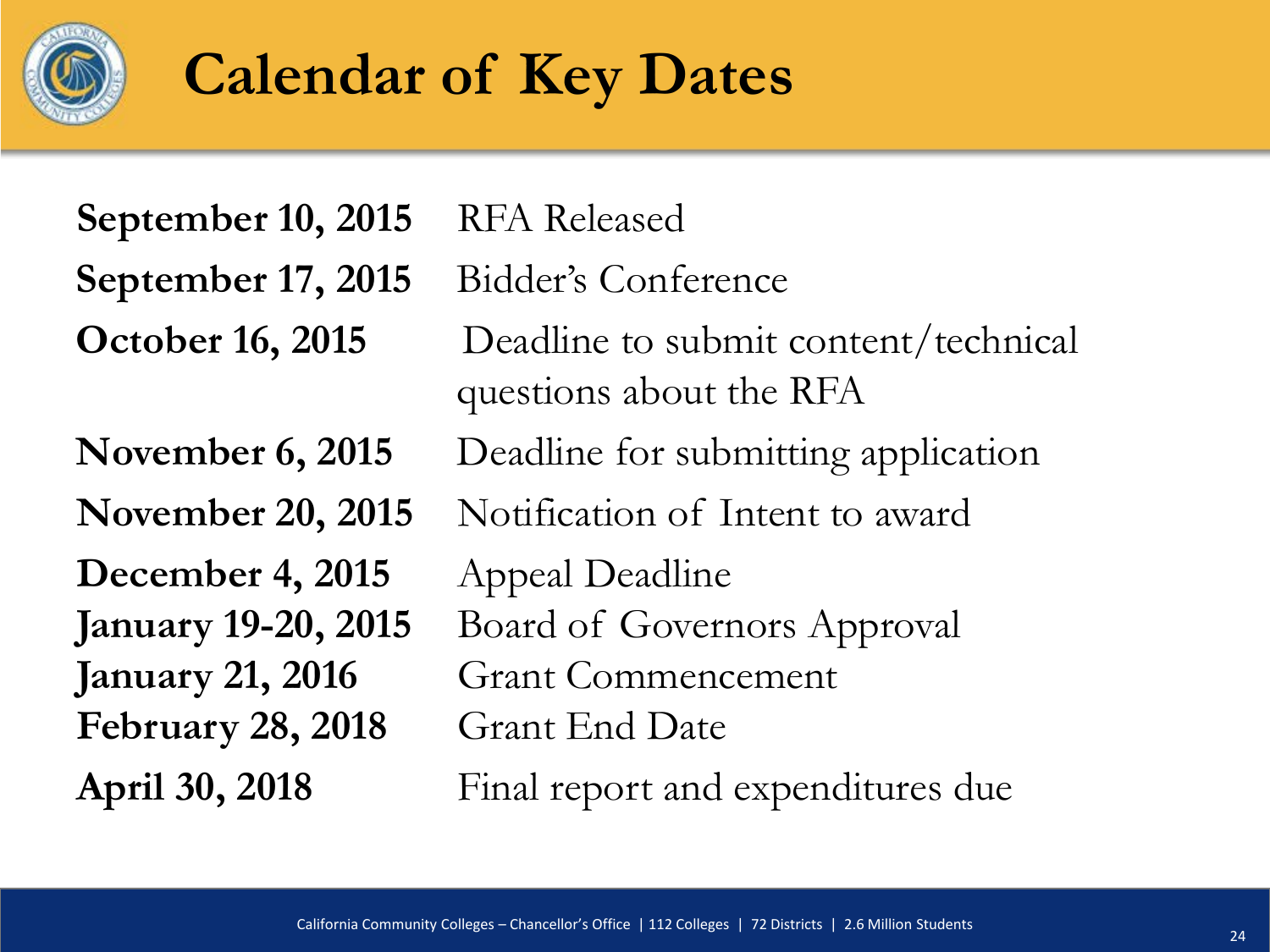

#### **Calendar of Key Dates**

**September 10, 2015** RFA Released

**September 17, 2015** Bidder's Conference

**December 4, 2015** Appeal Deadline **February 28, 2018** Grant End Date

**October 16, 2015** Deadline to submit content/technical questions about the RFA **November 6, 2015** Deadline for submitting application November 20, 2015 Notification of Intent to award **January 19-20, 2015** Board of Governors Approval **January 21, 2016** Grant Commencement **April 30, 2018** Final report and expenditures due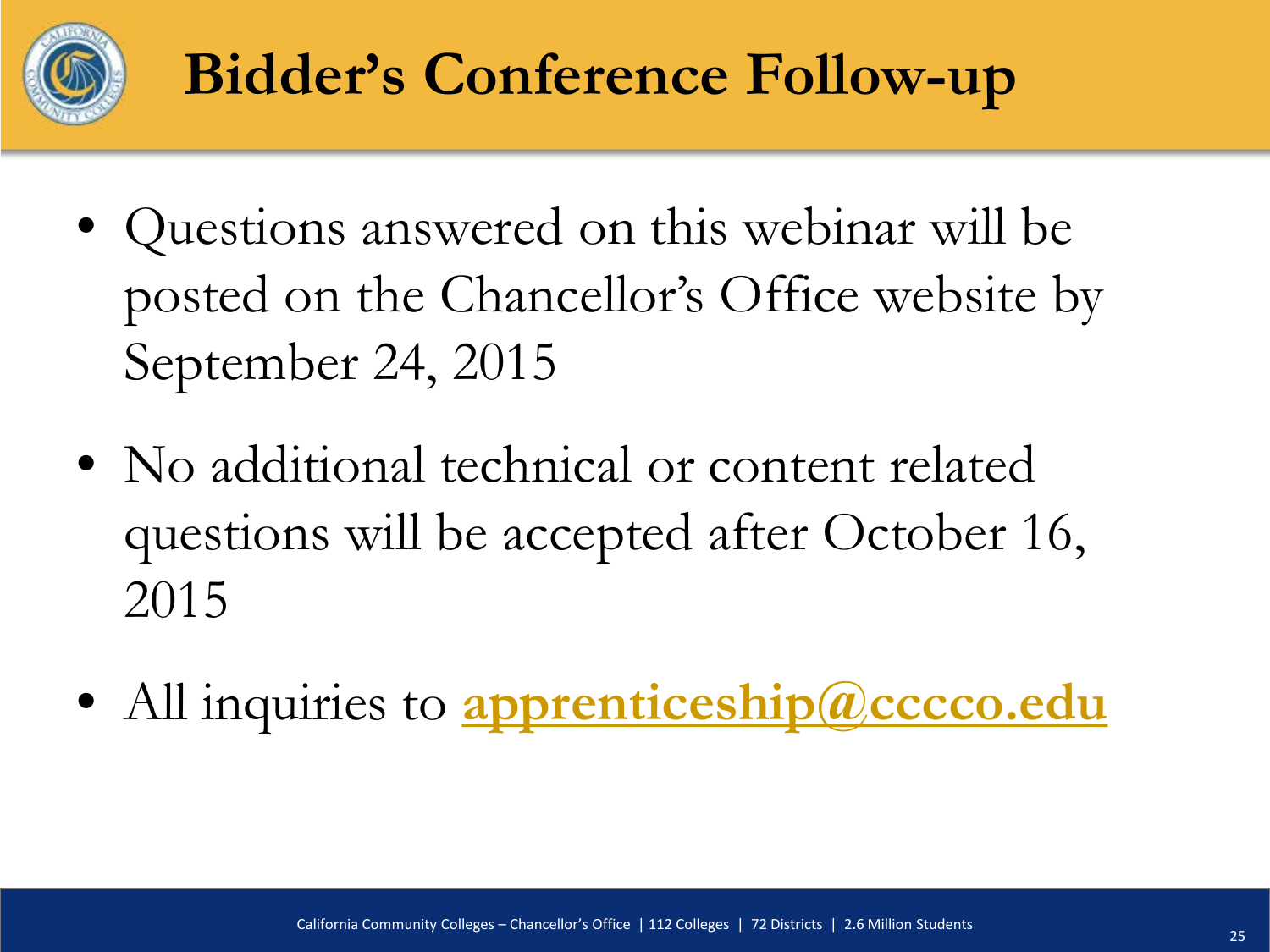

## **Bidder's Conference Follow-up**

- Questions answered on this webinar will be posted on the Chancellor's Office website by September 24, 2015
- No additional technical or content related questions will be accepted after October 16, 2015
- All inquiries to **[apprenticeship@cccco.edu](mailto:apprenticeship@cccco.edu?subject=RFA%20New%20Innovative%20Question)**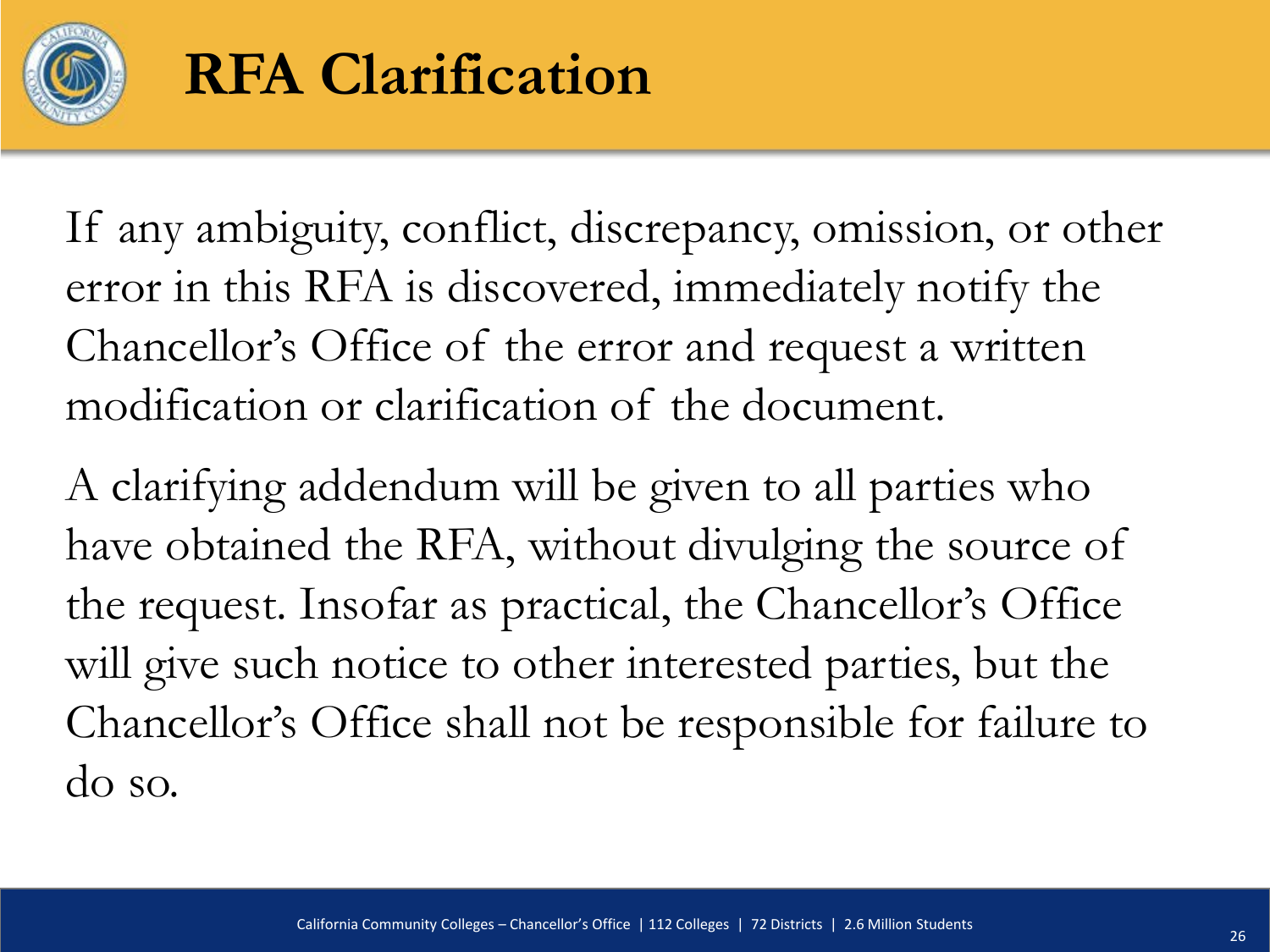

#### **RFA Clarification**

If any ambiguity, conflict, discrepancy, omission, or other error in this RFA is discovered, immediately notify the Chancellor's Office of the error and request a written modification or clarification of the document.

A clarifying addendum will be given to all parties who have obtained the RFA, without divulging the source of the request. Insofar as practical, the Chancellor's Office will give such notice to other interested parties, but the Chancellor's Office shall not be responsible for failure to do so.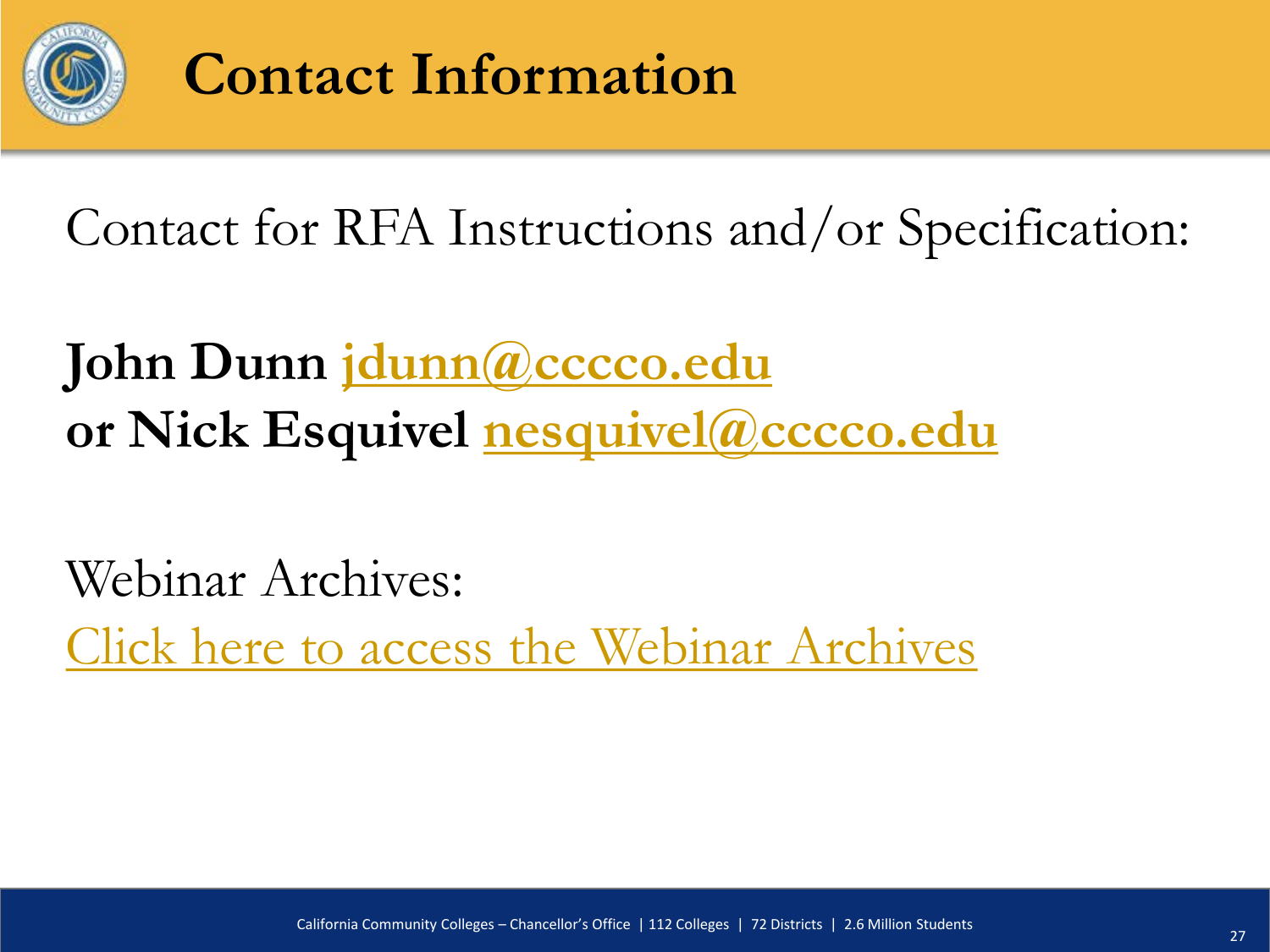

#### **Contact Information**

Contact for RFA Instructions and/or Specification:

**John Dunn [jdunn@cccco.edu](mailto:jdunn@cccco.edu) or Nick Esquivel [nesquivel@cccco.edu](mailto:nesquivel@cccco.edu)**

Webinar Archives:

[Click here to access the Webinar Archives](http://extranet.cccco.edu/Divisions/WorkforceandEconDev/WEDDRFAs/CaliforniaApprenticeshipInitiative.aspx)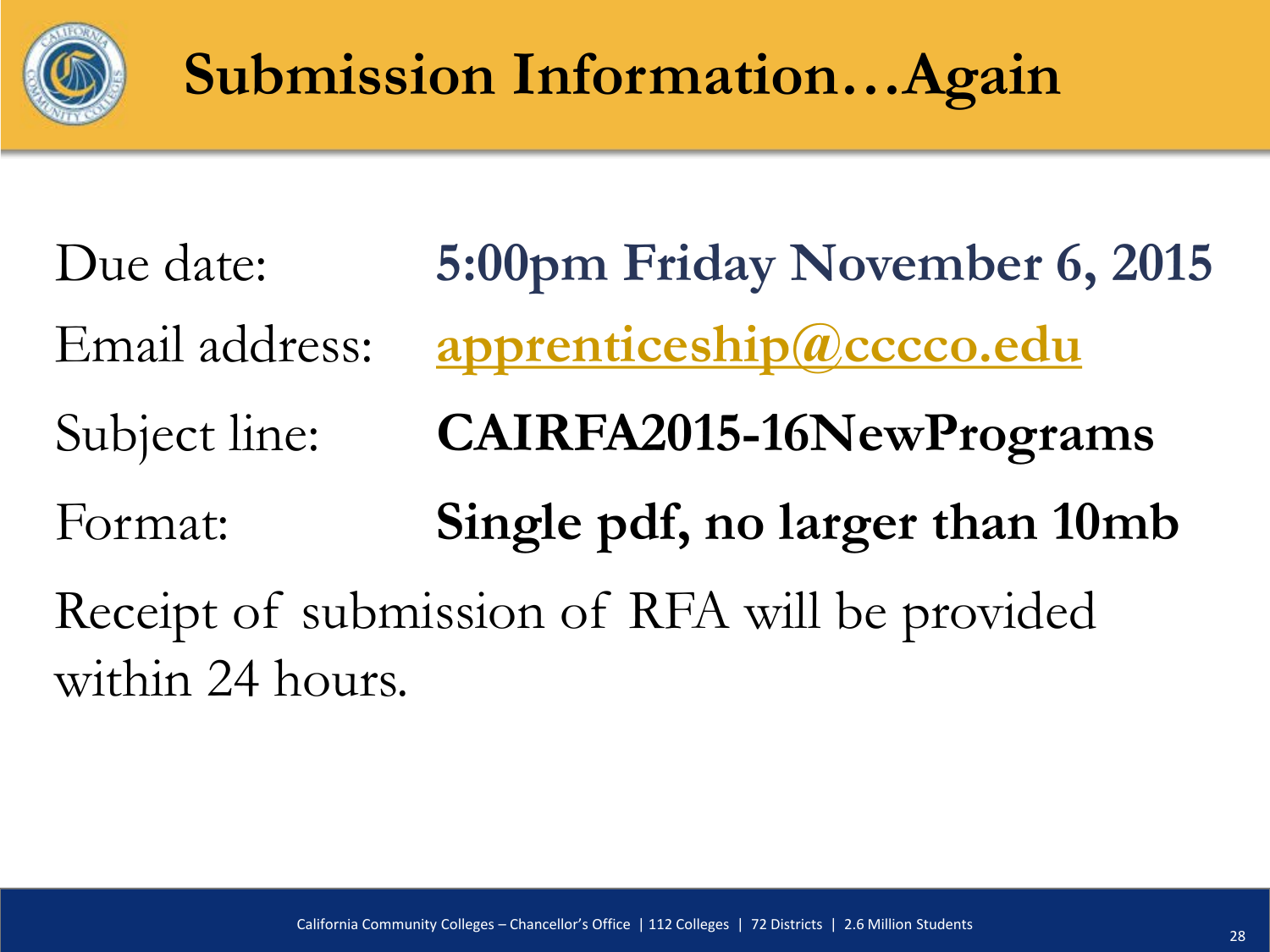

## **Submission Information…Again**

Due date: **5:00pm Friday November 6, 2015** Email address: **[apprenticeship@cccco.edu](mailto:apprenticeship@cccco.edu)** Subject line: **CAIRFA2015-16NewPrograms** Format: **Single pdf, no larger than 10mb** Receipt of submission of RFA will be provided within 24 hours.